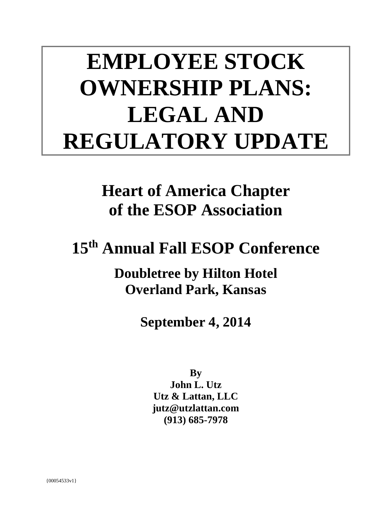# **EMPLOYEE STOCK OWNERSHIP PLANS: LEGAL AND REGULATORY UPDATE**

**Heart of America Chapter of the ESOP Association** 

**15th Annual Fall ESOP Conference** 

**Doubletree by Hilton Hotel Overland Park, Kansas** 

**September 4, 2014**

**By** 

**John L. Utz Utz & Lattan, LLC jutz@utzlattan.com (913) 685-7978**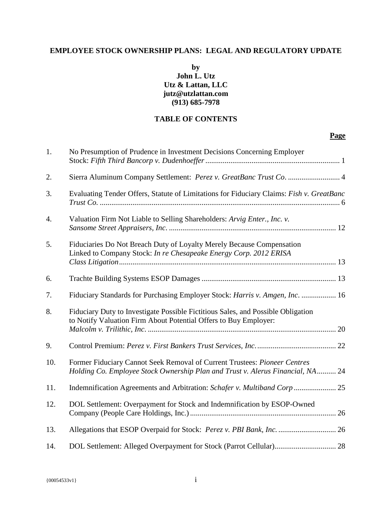## **EMPLOYEE STOCK OWNERSHIP PLANS: LEGAL AND REGULATORY UPDATE**

## **by John L. Utz Utz & Lattan, LLC jutz@utzlattan.com (913) 685-7978**

## **TABLE OF CONTENTS**

### **Page**

| 1.               | No Presumption of Prudence in Investment Decisions Concerning Employer                                                                                      |
|------------------|-------------------------------------------------------------------------------------------------------------------------------------------------------------|
| 2.               | Sierra Aluminum Company Settlement: Perez v. GreatBanc Trust Co.  4                                                                                         |
| 3.               | Evaluating Tender Offers, Statute of Limitations for Fiduciary Claims: Fish v. GreatBanc                                                                    |
| $\overline{4}$ . | Valuation Firm Not Liable to Selling Shareholders: Arvig Enter., Inc. v.                                                                                    |
| 5.               | Fiduciaries Do Not Breach Duty of Loyalty Merely Because Compensation<br>Linked to Company Stock: In re Chesapeake Energy Corp. 2012 ERISA                  |
| 6.               |                                                                                                                                                             |
| 7.               | Fiduciary Standards for Purchasing Employer Stock: Harris v. Amgen, Inc.  16                                                                                |
| 8.               | Fiduciary Duty to Investigate Possible Fictitious Sales, and Possible Obligation<br>to Notify Valuation Firm About Potential Offers to Buy Employer:        |
| 9.               |                                                                                                                                                             |
| 10.              | Former Fiduciary Cannot Seek Removal of Current Trustees: Pioneer Centres<br>Holding Co. Employee Stock Ownership Plan and Trust v. Alerus Financial, NA 24 |
| 11.              | Indemnification Agreements and Arbitration: Schafer v. Multiband Corp  25                                                                                   |
| 12.              | DOL Settlement: Overpayment for Stock and Indemnification by ESOP-Owned                                                                                     |
| 13.              | Allegations that ESOP Overpaid for Stock: Perez v. PBI Bank, Inc.  26                                                                                       |
| 14.              |                                                                                                                                                             |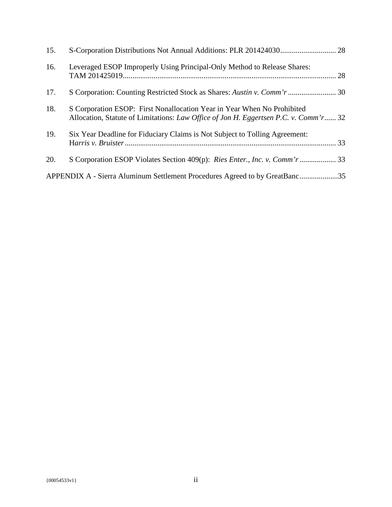| 15. |                                                                                                                                                                 |
|-----|-----------------------------------------------------------------------------------------------------------------------------------------------------------------|
| 16. | Leveraged ESOP Improperly Using Principal-Only Method to Release Shares:                                                                                        |
| 17. |                                                                                                                                                                 |
| 18. | S Corporation ESOP: First Nonallocation Year in Year When No Prohibited<br>Allocation, Statute of Limitations: Law Office of Jon H. Eggertsen P.C. v. Comm'r 32 |
| 19. | Six Year Deadline for Fiduciary Claims is Not Subject to Tolling Agreement:                                                                                     |
| 20. |                                                                                                                                                                 |
|     | APPENDIX A - Sierra Aluminum Settlement Procedures Agreed to by GreatBanc35                                                                                     |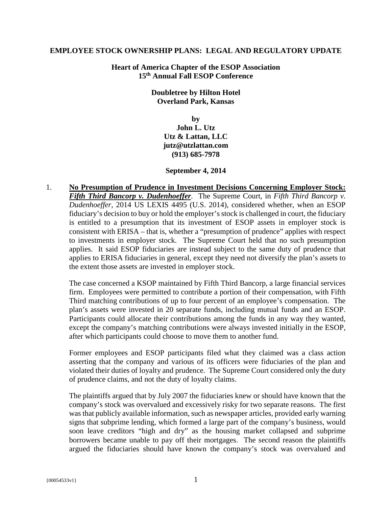#### **EMPLOYEE STOCK OWNERSHIP PLANS: LEGAL AND REGULATORY UPDATE**

**Heart of America Chapter of the ESOP Association 15th Annual Fall ESOP Conference** 

> **Doubletree by Hilton Hotel Overland Park, Kansas**

> > **by John L. Utz Utz & Lattan, LLC jutz@utzlattan.com (913) 685-7978**

#### **September 4, 2014**

1. **No Presumption of Prudence in Investment Decisions Concerning Employer Stock:**  *Fifth Third Bancorp v. Dudenhoeffer*. The Supreme Court, in *Fifth Third Bancorp v. Dudenhoeffer*, 2014 US LEXIS 4495 (U.S. 2014), considered whether, when an ESOP fiduciary's decision to buy or hold the employer's stock is challenged in court, the fiduciary is entitled to a presumption that its investment of ESOP assets in employer stock is consistent with ERISA – that is, whether a "presumption of prudence" applies with respect to investments in employer stock. The Supreme Court held that no such presumption applies. It said ESOP fiduciaries are instead subject to the same duty of prudence that applies to ERISA fiduciaries in general, except they need not diversify the plan's assets to the extent those assets are invested in employer stock.

The case concerned a KSOP maintained by Fifth Third Bancorp, a large financial services firm. Employees were permitted to contribute a portion of their compensation, with Fifth Third matching contributions of up to four percent of an employee's compensation. The plan's assets were invested in 20 separate funds, including mutual funds and an ESOP. Participants could allocate their contributions among the funds in any way they wanted, except the company's matching contributions were always invested initially in the ESOP, after which participants could choose to move them to another fund.

Former employees and ESOP participants filed what they claimed was a class action asserting that the company and various of its officers were fiduciaries of the plan and violated their duties of loyalty and prudence. The Supreme Court considered only the duty of prudence claims, and not the duty of loyalty claims.

The plaintiffs argued that by July 2007 the fiduciaries knew or should have known that the company's stock was overvalued and excessively risky for two separate reasons. The first was that publicly available information, such as newspaper articles, provided early warning signs that subprime lending, which formed a large part of the company's business, would soon leave creditors "high and dry" as the housing market collapsed and subprime borrowers became unable to pay off their mortgages. The second reason the plaintiffs argued the fiduciaries should have known the company's stock was overvalued and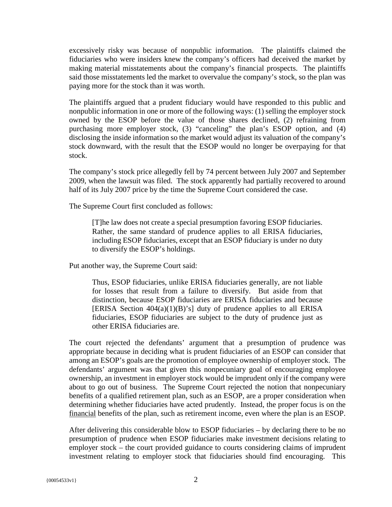excessively risky was because of nonpublic information. The plaintiffs claimed the fiduciaries who were insiders knew the company's officers had deceived the market by making material misstatements about the company's financial prospects. The plaintiffs said those misstatements led the market to overvalue the company's stock, so the plan was paying more for the stock than it was worth.

The plaintiffs argued that a prudent fiduciary would have responded to this public and nonpublic information in one or more of the following ways: (1) selling the employer stock owned by the ESOP before the value of those shares declined, (2) refraining from purchasing more employer stock, (3) "canceling" the plan's ESOP option, and (4) disclosing the inside information so the market would adjust its valuation of the company's stock downward, with the result that the ESOP would no longer be overpaying for that stock.

The company's stock price allegedly fell by 74 percent between July 2007 and September 2009, when the lawsuit was filed. The stock apparently had partially recovered to around half of its July 2007 price by the time the Supreme Court considered the case.

The Supreme Court first concluded as follows:

[T]he law does not create a special presumption favoring ESOP fiduciaries. Rather, the same standard of prudence applies to all ERISA fiduciaries, including ESOP fiduciaries, except that an ESOP fiduciary is under no duty to diversify the ESOP's holdings.

Put another way, the Supreme Court said:

Thus, ESOP fiduciaries, unlike ERISA fiduciaries generally, are not liable for losses that result from a failure to diversify. But aside from that distinction, because ESOP fiduciaries are ERISA fiduciaries and because [ERISA Section  $404(a)(1)(B)$ 's] duty of prudence applies to all ERISA fiduciaries, ESOP fiduciaries are subject to the duty of prudence just as other ERISA fiduciaries are.

The court rejected the defendants' argument that a presumption of prudence was appropriate because in deciding what is prudent fiduciaries of an ESOP can consider that among an ESOP's goals are the promotion of employee ownership of employer stock. The defendants' argument was that given this nonpecuniary goal of encouraging employee ownership, an investment in employer stock would be imprudent only if the company were about to go out of business. The Supreme Court rejected the notion that nonpecuniary benefits of a qualified retirement plan, such as an ESOP, are a proper consideration when determining whether fiduciaries have acted prudently. Instead, the proper focus is on the financial benefits of the plan, such as retirement income, even where the plan is an ESOP.

After delivering this considerable blow to ESOP fiduciaries – by declaring there to be no presumption of prudence when ESOP fiduciaries make investment decisions relating to employer stock – the court provided guidance to courts considering claims of imprudent investment relating to employer stock that fiduciaries should find encouraging. This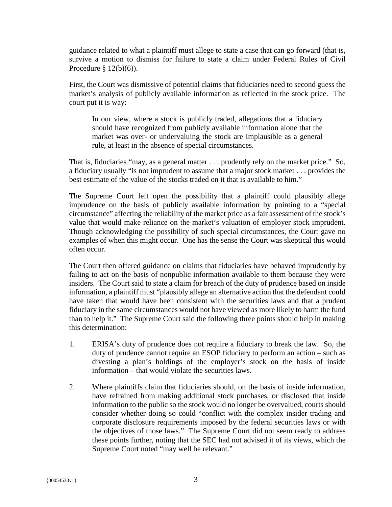guidance related to what a plaintiff must allege to state a case that can go forward (that is, survive a motion to dismiss for failure to state a claim under Federal Rules of Civil Procedure  $\S 12(b)(6)$ .

First, the Court was dismissive of potential claims that fiduciaries need to second guess the market's analysis of publicly available information as reflected in the stock price. The court put it is way:

In our view, where a stock is publicly traded, allegations that a fiduciary should have recognized from publicly available information alone that the market was over- or undervaluing the stock are implausible as a general rule, at least in the absence of special circumstances.

That is, fiduciaries "may, as a general matter . . . prudently rely on the market price." So, a fiduciary usually "is not imprudent to assume that a major stock market . . . provides the best estimate of the value of the stocks traded on it that is available to him."

The Supreme Court left open the possibility that a plaintiff could plausibly allege imprudence on the basis of publicly available information by pointing to a "special circumstance" affecting the reliability of the market price as a fair assessment of the stock's value that would make reliance on the market's valuation of employer stock imprudent. Though acknowledging the possibility of such special circumstances, the Court gave no examples of when this might occur. One has the sense the Court was skeptical this would often occur.

The Court then offered guidance on claims that fiduciaries have behaved imprudently by failing to act on the basis of nonpublic information available to them because they were insiders. The Court said to state a claim for breach of the duty of prudence based on inside information, a plaintiff must "plausibly allege an alternative action that the defendant could have taken that would have been consistent with the securities laws and that a prudent fiduciary in the same circumstances would not have viewed as more likely to harm the fund than to help it." The Supreme Court said the following three points should help in making this determination:

- 1. ERISA's duty of prudence does not require a fiduciary to break the law. So, the duty of prudence cannot require an ESOP fiduciary to perform an action – such as divesting a plan's holdings of the employer's stock on the basis of inside information – that would violate the securities laws.
- 2. Where plaintiffs claim that fiduciaries should, on the basis of inside information, have refrained from making additional stock purchases, or disclosed that inside information to the public so the stock would no longer be overvalued, courts should consider whether doing so could "conflict with the complex insider trading and corporate disclosure requirements imposed by the federal securities laws or with the objectives of those laws." The Supreme Court did not seem ready to address these points further, noting that the SEC had not advised it of its views, which the Supreme Court noted "may well be relevant."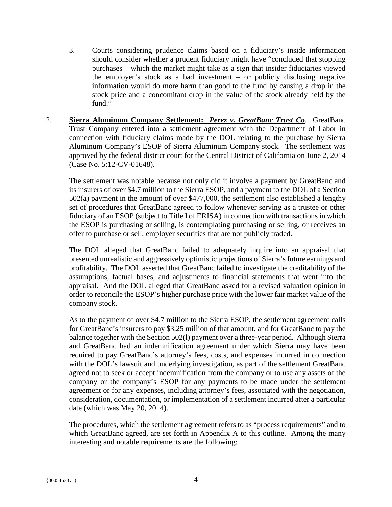- 3. Courts considering prudence claims based on a fiduciary's inside information should consider whether a prudent fiduciary might have "concluded that stopping purchases – which the market might take as a sign that insider fiduciaries viewed the employer's stock as a bad investment – or publicly disclosing negative information would do more harm than good to the fund by causing a drop in the stock price and a concomitant drop in the value of the stock already held by the fund."
- 2. **Sierra Aluminum Company Settlement:** *Perez v. GreatBanc Trust Co*. GreatBanc Trust Company entered into a settlement agreement with the Department of Labor in connection with fiduciary claims made by the DOL relating to the purchase by Sierra Aluminum Company's ESOP of Sierra Aluminum Company stock. The settlement was approved by the federal district court for the Central District of California on June 2, 2014 (Case No. 5:12-CV-01648).

The settlement was notable because not only did it involve a payment by GreatBanc and its insurers of over \$4.7 million to the Sierra ESOP, and a payment to the DOL of a Section 502(a) payment in the amount of over \$477,000, the settlement also established a lengthy set of procedures that GreatBanc agreed to follow whenever serving as a trustee or other fiduciary of an ESOP (subject to Title I of ERISA) in connection with transactions in which the ESOP is purchasing or selling, is contemplating purchasing or selling, or receives an offer to purchase or sell, employer securities that are not publicly traded.

The DOL alleged that GreatBanc failed to adequately inquire into an appraisal that presented unrealistic and aggressively optimistic projections of Sierra's future earnings and profitability. The DOL asserted that GreatBanc failed to investigate the creditability of the assumptions, factual bases, and adjustments to financial statements that went into the appraisal. And the DOL alleged that GreatBanc asked for a revised valuation opinion in order to reconcile the ESOP's higher purchase price with the lower fair market value of the company stock.

As to the payment of over \$4.7 million to the Sierra ESOP, the settlement agreement calls for GreatBanc's insurers to pay \$3.25 million of that amount, and for GreatBanc to pay the balance together with the Section 502(l) payment over a three-year period. Although Sierra and GreatBanc had an indemnification agreement under which Sierra may have been required to pay GreatBanc's attorney's fees, costs, and expenses incurred in connection with the DOL's lawsuit and underlying investigation, as part of the settlement GreatBanc agreed not to seek or accept indemnification from the company or to use any assets of the company or the company's ESOP for any payments to be made under the settlement agreement or for any expenses, including attorney's fees, associated with the negotiation, consideration, documentation, or implementation of a settlement incurred after a particular date (which was May 20, 2014).

The procedures, which the settlement agreement refers to as "process requirements" and to which GreatBanc agreed, are set forth in Appendix A to this outline. Among the many interesting and notable requirements are the following: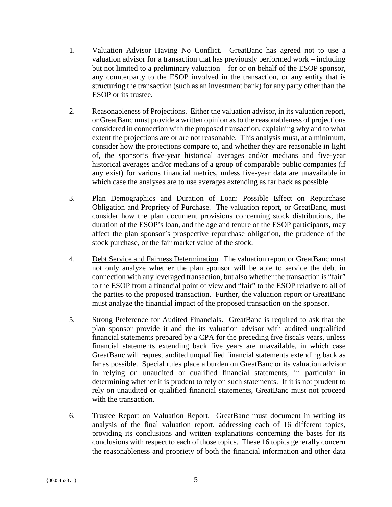- 1. Valuation Advisor Having No Conflict. GreatBanc has agreed not to use a valuation advisor for a transaction that has previously performed work – including but not limited to a preliminary valuation – for or on behalf of the ESOP sponsor, any counterparty to the ESOP involved in the transaction, or any entity that is structuring the transaction (such as an investment bank) for any party other than the ESOP or its trustee.
- 2. Reasonableness of Projections. Either the valuation advisor, in its valuation report, or GreatBanc must provide a written opinion as to the reasonableness of projections considered in connection with the proposed transaction, explaining why and to what extent the projections are or are not reasonable. This analysis must, at a minimum, consider how the projections compare to, and whether they are reasonable in light of, the sponsor's five-year historical averages and/or medians and five-year historical averages and/or medians of a group of comparable public companies (if any exist) for various financial metrics, unless five-year data are unavailable in which case the analyses are to use averages extending as far back as possible.
- 3. Plan Demographics and Duration of Loan: Possible Effect on Repurchase Obligation and Propriety of Purchase. The valuation report, or GreatBanc, must consider how the plan document provisions concerning stock distributions, the duration of the ESOP's loan, and the age and tenure of the ESOP participants, may affect the plan sponsor's prospective repurchase obligation, the prudence of the stock purchase, or the fair market value of the stock.
- 4. Debt Service and Fairness Determination. The valuation report or GreatBanc must not only analyze whether the plan sponsor will be able to service the debt in connection with any leveraged transaction, but also whether the transaction is "fair" to the ESOP from a financial point of view and "fair" to the ESOP relative to all of the parties to the proposed transaction. Further, the valuation report or GreatBanc must analyze the financial impact of the proposed transaction on the sponsor.
- 5. Strong Preference for Audited Financials. GreatBanc is required to ask that the plan sponsor provide it and the its valuation advisor with audited unqualified financial statements prepared by a CPA for the preceding five fiscals years, unless financial statements extending back five years are unavailable, in which case GreatBanc will request audited unqualified financial statements extending back as far as possible. Special rules place a burden on GreatBanc or its valuation advisor in relying on unaudited or qualified financial statements, in particular in determining whether it is prudent to rely on such statements. If it is not prudent to rely on unaudited or qualified financial statements, GreatBanc must not proceed with the transaction.
- 6. Trustee Report on Valuation Report. GreatBanc must document in writing its analysis of the final valuation report, addressing each of 16 different topics, providing its conclusions and written explanations concerning the bases for its conclusions with respect to each of those topics. These 16 topics generally concern the reasonableness and propriety of both the financial information and other data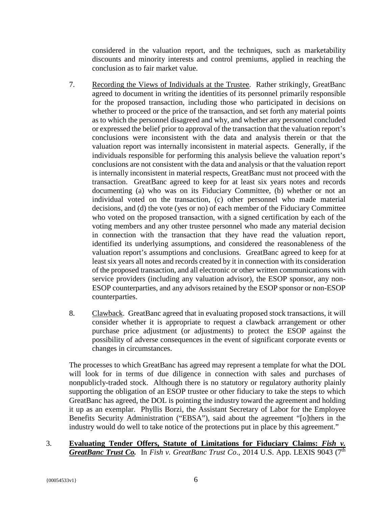considered in the valuation report, and the techniques, such as marketability discounts and minority interests and control premiums, applied in reaching the conclusion as to fair market value.

- 7. Recording the Views of Individuals at the Trustee. Rather strikingly, GreatBanc agreed to document in writing the identities of its personnel primarily responsible for the proposed transaction, including those who participated in decisions on whether to proceed or the price of the transaction, and set forth any material points as to which the personnel disagreed and why, and whether any personnel concluded or expressed the belief prior to approval of the transaction that the valuation report's conclusions were inconsistent with the data and analysis therein or that the valuation report was internally inconsistent in material aspects. Generally, if the individuals responsible for performing this analysis believe the valuation report's conclusions are not consistent with the data and analysis or that the valuation report is internally inconsistent in material respects, GreatBanc must not proceed with the transaction. GreatBanc agreed to keep for at least six years notes and records documenting (a) who was on its Fiduciary Committee, (b) whether or not an individual voted on the transaction, (c) other personnel who made material decisions, and (d) the vote (yes or no) of each member of the Fiduciary Committee who voted on the proposed transaction, with a signed certification by each of the voting members and any other trustee personnel who made any material decision in connection with the transaction that they have read the valuation report, identified its underlying assumptions, and considered the reasonableness of the valuation report's assumptions and conclusions. GreatBanc agreed to keep for at least six years all notes and records created by it in connection with its consideration of the proposed transaction, and all electronic or other written communications with service providers (including any valuation advisor), the ESOP sponsor, any non-ESOP counterparties, and any advisors retained by the ESOP sponsor or non-ESOP counterparties.
- 8. Clawback. GreatBanc agreed that in evaluating proposed stock transactions, it will consider whether it is appropriate to request a clawback arrangement or other purchase price adjustment (or adjustments) to protect the ESOP against the possibility of adverse consequences in the event of significant corporate events or changes in circumstances.

The processes to which GreatBanc has agreed may represent a template for what the DOL will look for in terms of due diligence in connection with sales and purchases of nonpublicly-traded stock. Although there is no statutory or regulatory authority plainly supporting the obligation of an ESOP trustee or other fiduciary to take the steps to which GreatBanc has agreed, the DOL is pointing the industry toward the agreement and holding it up as an exemplar. Phyllis Borzi, the Assistant Secretary of Labor for the Employee Benefits Security Administration ("EBSA"), said about the agreement "[o]thers in the industry would do well to take notice of the protections put in place by this agreement."

3. **Evaluating Tender Offers, Statute of Limitations for Fiduciary Claims:** *Fish v. GreatBanc Trust Co.* In *Fish v. GreatBanc Trust Co*., 2014 U.S. App. LEXIS 9043 (7th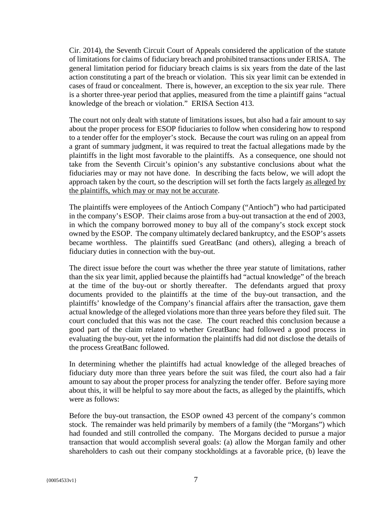Cir. 2014), the Seventh Circuit Court of Appeals considered the application of the statute of limitations for claims of fiduciary breach and prohibited transactions under ERISA. The general limitation period for fiduciary breach claims is six years from the date of the last action constituting a part of the breach or violation. This six year limit can be extended in cases of fraud or concealment. There is, however, an exception to the six year rule. There is a shorter three-year period that applies, measured from the time a plaintiff gains "actual knowledge of the breach or violation." ERISA Section 413.

The court not only dealt with statute of limitations issues, but also had a fair amount to say about the proper process for ESOP fiduciaries to follow when considering how to respond to a tender offer for the employer's stock. Because the court was ruling on an appeal from a grant of summary judgment, it was required to treat the factual allegations made by the plaintiffs in the light most favorable to the plaintiffs. As a consequence, one should not take from the Seventh Circuit's opinion's any substantive conclusions about what the fiduciaries may or may not have done. In describing the facts below, we will adopt the approach taken by the court, so the description will set forth the facts largely as alleged by the plaintiffs, which may or may not be accurate.

The plaintiffs were employees of the Antioch Company ("Antioch") who had participated in the company's ESOP. Their claims arose from a buy-out transaction at the end of 2003, in which the company borrowed money to buy all of the company's stock except stock owned by the ESOP. The company ultimately declared bankruptcy, and the ESOP's assets became worthless. The plaintiffs sued GreatBanc (and others), alleging a breach of fiduciary duties in connection with the buy-out.

The direct issue before the court was whether the three year statute of limitations, rather than the six year limit, applied because the plaintiffs had "actual knowledge" of the breach at the time of the buy-out or shortly thereafter. The defendants argued that proxy documents provided to the plaintiffs at the time of the buy-out transaction, and the plaintiffs' knowledge of the Company's financial affairs after the transaction, gave them actual knowledge of the alleged violations more than three years before they filed suit. The court concluded that this was not the case. The court reached this conclusion because a good part of the claim related to whether GreatBanc had followed a good process in evaluating the buy-out, yet the information the plaintiffs had did not disclose the details of the process GreatBanc followed.

In determining whether the plaintiffs had actual knowledge of the alleged breaches of fiduciary duty more than three years before the suit was filed, the court also had a fair amount to say about the proper process for analyzing the tender offer. Before saying more about this, it will be helpful to say more about the facts, as alleged by the plaintiffs, which were as follows:

Before the buy-out transaction, the ESOP owned 43 percent of the company's common stock. The remainder was held primarily by members of a family (the "Morgans") which had founded and still controlled the company. The Morgans decided to pursue a major transaction that would accomplish several goals: (a) allow the Morgan family and other shareholders to cash out their company stockholdings at a favorable price, (b) leave the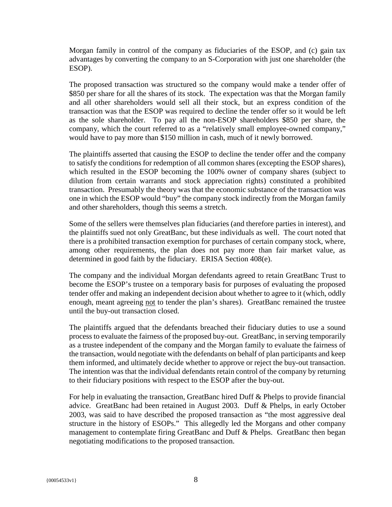Morgan family in control of the company as fiduciaries of the ESOP, and (c) gain tax advantages by converting the company to an S-Corporation with just one shareholder (the ESOP).

The proposed transaction was structured so the company would make a tender offer of \$850 per share for all the shares of its stock. The expectation was that the Morgan family and all other shareholders would sell all their stock, but an express condition of the transaction was that the ESOP was required to decline the tender offer so it would be left as the sole shareholder. To pay all the non-ESOP shareholders \$850 per share, the company, which the court referred to as a "relatively small employee-owned company," would have to pay more than \$150 million in cash, much of it newly borrowed.

The plaintiffs asserted that causing the ESOP to decline the tender offer and the company to satisfy the conditions for redemption of all common shares (excepting the ESOP shares), which resulted in the ESOP becoming the 100% owner of company shares (subject to dilution from certain warrants and stock appreciation rights) constituted a prohibited transaction. Presumably the theory was that the economic substance of the transaction was one in which the ESOP would "buy" the company stock indirectly from the Morgan family and other shareholders, though this seems a stretch.

Some of the sellers were themselves plan fiduciaries (and therefore parties in interest), and the plaintiffs sued not only GreatBanc, but these individuals as well. The court noted that there is a prohibited transaction exemption for purchases of certain company stock, where, among other requirements, the plan does not pay more than fair market value, as determined in good faith by the fiduciary. ERISA Section 408(e).

The company and the individual Morgan defendants agreed to retain GreatBanc Trust to become the ESOP's trustee on a temporary basis for purposes of evaluating the proposed tender offer and making an independent decision about whether to agree to it (which, oddly enough, meant agreeing not to tender the plan's shares). GreatBanc remained the trustee until the buy-out transaction closed.

The plaintiffs argued that the defendants breached their fiduciary duties to use a sound process to evaluate the fairness of the proposed buy-out. GreatBanc, in serving temporarily as a trustee independent of the company and the Morgan family to evaluate the fairness of the transaction, would negotiate with the defendants on behalf of plan participants and keep them informed, and ultimately decide whether to approve or reject the buy-out transaction. The intention was that the individual defendants retain control of the company by returning to their fiduciary positions with respect to the ESOP after the buy-out.

For help in evaluating the transaction, GreatBanc hired Duff & Phelps to provide financial advice. GreatBanc had been retained in August 2003. Duff & Phelps, in early October 2003, was said to have described the proposed transaction as "the most aggressive deal structure in the history of ESOPs." This allegedly led the Morgans and other company management to contemplate firing GreatBanc and Duff & Phelps. GreatBanc then began negotiating modifications to the proposed transaction.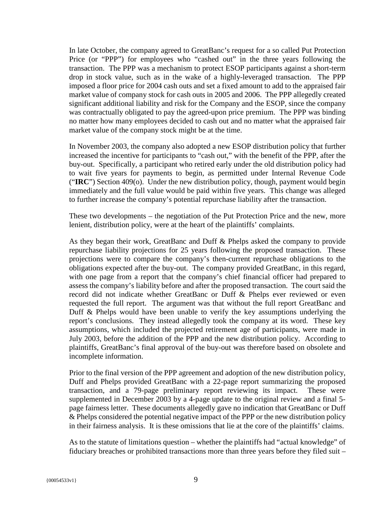In late October, the company agreed to GreatBanc's request for a so called Put Protection Price (or "PPP") for employees who "cashed out" in the three years following the transaction. The PPP was a mechanism to protect ESOP participants against a short-term drop in stock value, such as in the wake of a highly-leveraged transaction. The PPP imposed a floor price for 2004 cash outs and set a fixed amount to add to the appraised fair market value of company stock for cash outs in 2005 and 2006. The PPP allegedly created significant additional liability and risk for the Company and the ESOP, since the company was contractually obligated to pay the agreed-upon price premium. The PPP was binding no matter how many employees decided to cash out and no matter what the appraised fair market value of the company stock might be at the time.

In November 2003, the company also adopted a new ESOP distribution policy that further increased the incentive for participants to "cash out," with the benefit of the PPP, after the buy-out. Specifically, a participant who retired early under the old distribution policy had to wait five years for payments to begin, as permitted under Internal Revenue Code ("**IRC**") Section 409(o). Under the new distribution policy, though, payment would begin immediately and the full value would be paid within five years. This change was alleged to further increase the company's potential repurchase liability after the transaction.

These two developments – the negotiation of the Put Protection Price and the new, more lenient, distribution policy, were at the heart of the plaintiffs' complaints.

As they began their work, GreatBanc and Duff & Phelps asked the company to provide repurchase liability projections for 25 years following the proposed transaction. These projections were to compare the company's then-current repurchase obligations to the obligations expected after the buy-out. The company provided GreatBanc, in this regard, with one page from a report that the company's chief financial officer had prepared to assess the company's liability before and after the proposed transaction. The court said the record did not indicate whether GreatBanc or Duff & Phelps ever reviewed or even requested the full report. The argument was that without the full report GreatBanc and Duff & Phelps would have been unable to verify the key assumptions underlying the report's conclusions. They instead allegedly took the company at its word. These key assumptions, which included the projected retirement age of participants, were made in July 2003, before the addition of the PPP and the new distribution policy. According to plaintiffs, GreatBanc's final approval of the buy-out was therefore based on obsolete and incomplete information.

Prior to the final version of the PPP agreement and adoption of the new distribution policy, Duff and Phelps provided GreatBanc with a 22-page report summarizing the proposed transaction, and a 79-page preliminary report reviewing its impact. These were supplemented in December 2003 by a 4-page update to the original review and a final 5 page fairness letter. These documents allegedly gave no indication that GreatBanc or Duff & Phelps considered the potential negative impact of the PPP or the new distribution policy in their fairness analysis. It is these omissions that lie at the core of the plaintiffs' claims.

As to the statute of limitations question – whether the plaintiffs had "actual knowledge" of fiduciary breaches or prohibited transactions more than three years before they filed suit –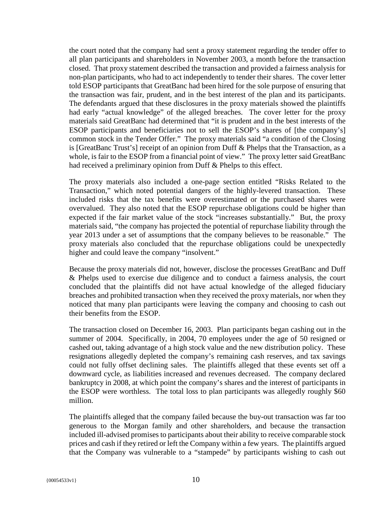the court noted that the company had sent a proxy statement regarding the tender offer to all plan participants and shareholders in November 2003, a month before the transaction closed. That proxy statement described the transaction and provided a fairness analysis for non-plan participants, who had to act independently to tender their shares. The cover letter told ESOP participants that GreatBanc had been hired for the sole purpose of ensuring that the transaction was fair, prudent, and in the best interest of the plan and its participants. The defendants argued that these disclosures in the proxy materials showed the plaintiffs had early "actual knowledge" of the alleged breaches. The cover letter for the proxy materials said GreatBanc had determined that "it is prudent and in the best interests of the ESOP participants and beneficiaries not to sell the ESOP's shares of [the company's] common stock in the Tender Offer." The proxy materials said "a condition of the Closing is [GreatBanc Trust's] receipt of an opinion from Duff & Phelps that the Transaction, as a whole, is fair to the ESOP from a financial point of view." The proxy letter said GreatBanc had received a preliminary opinion from Duff & Phelps to this effect.

The proxy materials also included a one-page section entitled "Risks Related to the Transaction," which noted potential dangers of the highly-levered transaction. These included risks that the tax benefits were overestimated or the purchased shares were overvalued. They also noted that the ESOP repurchase obligations could be higher than expected if the fair market value of the stock "increases substantially." But, the proxy materials said, "the company has projected the potential of repurchase liability through the year 2013 under a set of assumptions that the company believes to be reasonable." The proxy materials also concluded that the repurchase obligations could be unexpectedly higher and could leave the company "insolvent."

Because the proxy materials did not, however, disclose the processes GreatBanc and Duff & Phelps used to exercise due diligence and to conduct a fairness analysis, the court concluded that the plaintiffs did not have actual knowledge of the alleged fiduciary breaches and prohibited transaction when they received the proxy materials, nor when they noticed that many plan participants were leaving the company and choosing to cash out their benefits from the ESOP.

The transaction closed on December 16, 2003. Plan participants began cashing out in the summer of 2004. Specifically, in 2004, 70 employees under the age of 50 resigned or cashed out, taking advantage of a high stock value and the new distribution policy. These resignations allegedly depleted the company's remaining cash reserves, and tax savings could not fully offset declining sales. The plaintiffs alleged that these events set off a downward cycle, as liabilities increased and revenues decreased. The company declared bankruptcy in 2008, at which point the company's shares and the interest of participants in the ESOP were worthless. The total loss to plan participants was allegedly roughly \$60 million.

The plaintiffs alleged that the company failed because the buy-out transaction was far too generous to the Morgan family and other shareholders, and because the transaction included ill-advised promises to participants about their ability to receive comparable stock prices and cash if they retired or left the Company within a few years. The plaintiffs argued that the Company was vulnerable to a "stampede" by participants wishing to cash out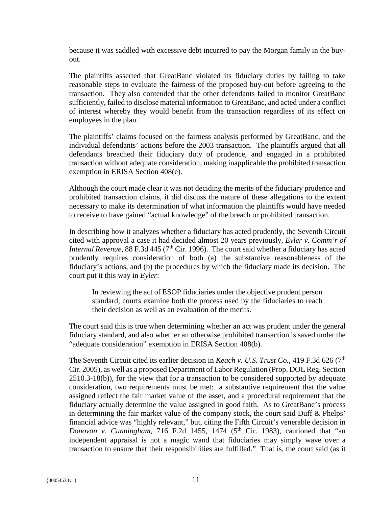because it was saddled with excessive debt incurred to pay the Morgan family in the buyout.

The plaintiffs asserted that GreatBanc violated its fiduciary duties by failing to take reasonable steps to evaluate the fairness of the proposed buy-out before agreeing to the transaction. They also contended that the other defendants failed to monitor GreatBanc sufficiently, failed to disclose material information to GreatBanc, and acted under a conflict of interest whereby they would benefit from the transaction regardless of its effect on employees in the plan.

The plaintiffs' claims focused on the fairness analysis performed by GreatBanc, and the individual defendants' actions before the 2003 transaction. The plaintiffs argued that all defendants breached their fiduciary duty of prudence, and engaged in a prohibited transaction without adequate consideration, making inapplicable the prohibited transaction exemption in ERISA Section 408(e).

Although the court made clear it was not deciding the merits of the fiduciary prudence and prohibited transaction claims, it did discuss the nature of these allegations to the extent necessary to make its determination of what information the plaintiffs would have needed to receive to have gained "actual knowledge" of the breach or prohibited transaction.

In describing how it analyzes whether a fiduciary has acted prudently, the Seventh Circuit cited with approval a case it had decided almost 20 years previously, *Eyler v. Comm'r of Internal Revenue*, 88 F.3d 445 (7<sup>th</sup> Cir. 1996). The court said whether a fiduciary has acted prudently requires consideration of both (a) the substantive reasonableness of the fiduciary's actions, and (b) the procedures by which the fiduciary made its decision. The court put it this way in *Eyler*:

In reviewing the act of ESOP fiduciaries under the objective prudent person standard, courts examine both the process used by the fiduciaries to reach their decision as well as an evaluation of the merits.

The court said this is true when determining whether an act was prudent under the general fiduciary standard, and also whether an otherwise prohibited transaction is saved under the "adequate consideration" exemption in ERISA Section 408(b).

The Seventh Circuit cited its earlier decision in *Keach v. U.S. Trust Co.*, 419 F.3d 626 (7<sup>th</sup>) Cir. 2005), as well as a proposed Department of Labor Regulation (Prop. DOL Reg. Section 2510.3-18(b)), for the view that for a transaction to be considered supported by adequate consideration, two requirements must be met: a substantive requirement that the value assigned reflect the fair market value of the asset, and a procedural requirement that the fiduciary actually determine the value assigned in good faith. As to GreatBanc's process in determining the fair market value of the company stock, the court said Duff & Phelps' financial advice was "highly relevant," but, citing the Fifth Circuit's venerable decision in *Donovan v. Cunningham*, 716 F.2d 1455, 1474 (5<sup>th</sup> Cir. 1983), cautioned that "an independent appraisal is not a magic wand that fiduciaries may simply wave over a transaction to ensure that their responsibilities are fulfilled." That is, the court said (as it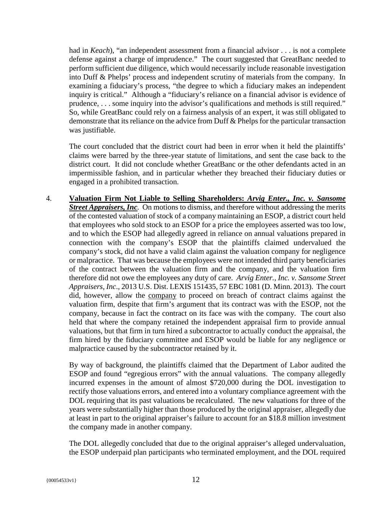had in *Keach*), "an independent assessment from a financial advisor . . . is not a complete defense against a charge of imprudence." The court suggested that GreatBanc needed to perform sufficient due diligence, which would necessarily include reasonable investigation into Duff & Phelps' process and independent scrutiny of materials from the company. In examining a fiduciary's process, "the degree to which a fiduciary makes an independent inquiry is critical." Although a "fiduciary's reliance on a financial advisor is evidence of prudence, . . . some inquiry into the advisor's qualifications and methods is still required." So, while GreatBanc could rely on a fairness analysis of an expert, it was still obligated to demonstrate that its reliance on the advice from Duff & Phelps for the particular transaction was justifiable.

The court concluded that the district court had been in error when it held the plaintiffs' claims were barred by the three-year statute of limitations, and sent the case back to the district court. It did not conclude whether GreatBanc or the other defendants acted in an impermissible fashion, and in particular whether they breached their fiduciary duties or engaged in a prohibited transaction.

4. **Valuation Firm Not Liable to Selling Shareholders:** *Arvig Enter., Inc. v. Sansome Street Appraisers, Inc.* On motions to dismiss, and therefore without addressing the merits of the contested valuation of stock of a company maintaining an ESOP, a district court held that employees who sold stock to an ESOP for a price the employees asserted was too low, and to which the ESOP had allegedly agreed in reliance on annual valuations prepared in connection with the company's ESOP that the plaintiffs claimed undervalued the company's stock, did not have a valid claim against the valuation company for negligence or malpractice. That was because the employees were not intended third party beneficiaries of the contract between the valuation firm and the company, and the valuation firm therefore did not owe the employees any duty of care. *Arvig Enter., Inc. v. Sansome Street Appraisers, Inc*., 2013 U.S. Dist. LEXIS 151435, 57 EBC 1081 (D. Minn. 2013). The court did, however, allow the company to proceed on breach of contract claims against the valuation firm, despite that firm's argument that its contract was with the ESOP, not the company, because in fact the contract on its face was with the company. The court also held that where the company retained the independent appraisal firm to provide annual valuations, but that firm in turn hired a subcontractor to actually conduct the appraisal, the firm hired by the fiduciary committee and ESOP would be liable for any negligence or malpractice caused by the subcontractor retained by it.

By way of background, the plaintiffs claimed that the Department of Labor audited the ESOP and found "egregious errors" with the annual valuations. The company allegedly incurred expenses in the amount of almost \$720,000 during the DOL investigation to rectify those valuations errors, and entered into a voluntary compliance agreement with the DOL requiring that its past valuations be recalculated. The new valuations for three of the years were substantially higher than those produced by the original appraiser, allegedly due at least in part to the original appraiser's failure to account for an \$18.8 million investment the company made in another company.

The DOL allegedly concluded that due to the original appraiser's alleged undervaluation, the ESOP underpaid plan participants who terminated employment, and the DOL required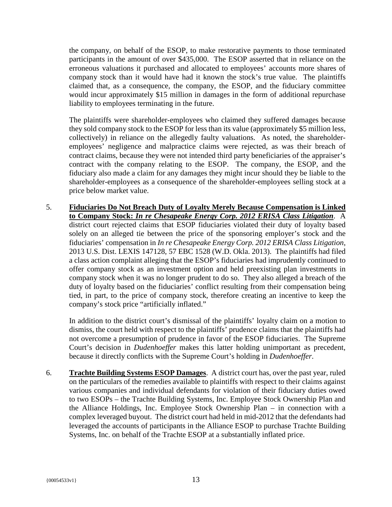the company, on behalf of the ESOP, to make restorative payments to those terminated participants in the amount of over \$435,000. The ESOP asserted that in reliance on the erroneous valuations it purchased and allocated to employees' accounts more shares of company stock than it would have had it known the stock's true value. The plaintiffs claimed that, as a consequence, the company, the ESOP, and the fiduciary committee would incur approximately \$15 million in damages in the form of additional repurchase liability to employees terminating in the future.

The plaintiffs were shareholder-employees who claimed they suffered damages because they sold company stock to the ESOP for less than its value (approximately \$5 million less, collectively) in reliance on the allegedly faulty valuations. As noted, the shareholderemployees' negligence and malpractice claims were rejected, as was their breach of contract claims, because they were not intended third party beneficiaries of the appraiser's contract with the company relating to the ESOP. The company, the ESOP, and the fiduciary also made a claim for any damages they might incur should they be liable to the shareholder-employees as a consequence of the shareholder-employees selling stock at a price below market value.

5. **Fiduciaries Do Not Breach Duty of Loyalty Merely Because Compensation is Linked to Company Stock:** *In re Chesapeake Energy Corp. 2012 ERISA Class Litigation*. A district court rejected claims that ESOP fiduciaries violated their duty of loyalty based solely on an alleged tie between the price of the sponsoring employer's stock and the fiduciaries' compensation in *In re Chesapeake Energy Corp. 2012 ERISA Class Litigation*, 2013 U.S. Dist. LEXIS 147128, 57 EBC 1528 (W.D. Okla. 2013). The plaintiffs had filed a class action complaint alleging that the ESOP's fiduciaries had imprudently continued to offer company stock as an investment option and held preexisting plan investments in company stock when it was no longer prudent to do so. They also alleged a breach of the duty of loyalty based on the fiduciaries' conflict resulting from their compensation being tied, in part, to the price of company stock, therefore creating an incentive to keep the company's stock price "artificially inflated."

In addition to the district court's dismissal of the plaintiffs' loyalty claim on a motion to dismiss, the court held with respect to the plaintiffs' prudence claims that the plaintiffs had not overcome a presumption of prudence in favor of the ESOP fiduciaries. The Supreme Court's decision in *Dudenhoeffer* makes this latter holding unimportant as precedent, because it directly conflicts with the Supreme Court's holding in *Dudenhoeffer*.

6. **Trachte Building Systems ESOP Damages**. A district court has, over the past year, ruled on the particulars of the remedies available to plaintiffs with respect to their claims against various companies and individual defendants for violation of their fiduciary duties owed to two ESOPs – the Trachte Building Systems, Inc. Employee Stock Ownership Plan and the Alliance Holdings, Inc. Employee Stock Ownership Plan – in connection with a complex leveraged buyout. The district court had held in mid-2012 that the defendants had leveraged the accounts of participants in the Alliance ESOP to purchase Trachte Building Systems, Inc. on behalf of the Trachte ESOP at a substantially inflated price.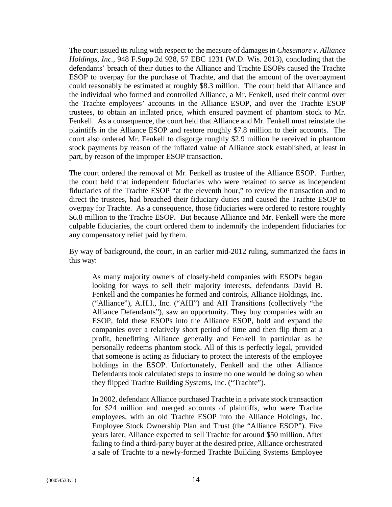The court issued its ruling with respect to the measure of damages in *Chesemore v. Alliance Holdings, Inc.*, 948 F.Supp.2d 928, 57 EBC 1231 (W.D. Wis. 2013), concluding that the defendants' breach of their duties to the Alliance and Trachte ESOPs caused the Trachte ESOP to overpay for the purchase of Trachte, and that the amount of the overpayment could reasonably be estimated at roughly \$8.3 million. The court held that Alliance and the individual who formed and controlled Alliance, a Mr. Fenkell, used their control over the Trachte employees' accounts in the Alliance ESOP, and over the Trachte ESOP trustees, to obtain an inflated price, which ensured payment of phantom stock to Mr. Fenkell. As a consequence, the court held that Alliance and Mr. Fenkell must reinstate the plaintiffs in the Alliance ESOP and restore roughly \$7.8 million to their accounts. The court also ordered Mr. Fenkell to disgorge roughly \$2.9 million he received in phantom stock payments by reason of the inflated value of Alliance stock established, at least in part, by reason of the improper ESOP transaction.

The court ordered the removal of Mr. Fenkell as trustee of the Alliance ESOP. Further, the court held that independent fiduciaries who were retained to serve as independent fiduciaries of the Trachte ESOP "at the eleventh hour," to review the transaction and to direct the trustees, had breached their fiduciary duties and caused the Trachte ESOP to overpay for Trachte. As a consequence, those fiduciaries were ordered to restore roughly \$6.8 million to the Trachte ESOP. But because Alliance and Mr. Fenkell were the more culpable fiduciaries, the court ordered them to indemnify the independent fiduciaries for any compensatory relief paid by them.

By way of background, the court, in an earlier mid-2012 ruling, summarized the facts in this way:

As many majority owners of closely-held companies with ESOPs began looking for ways to sell their majority interests, defendants David B. Fenkell and the companies he formed and controls, Alliance Holdings, Inc. ("Alliance"), A.H.I., Inc. ("AHI") and AH Transitions (collectively "the Alliance Defendants"), saw an opportunity. They buy companies with an ESOP, fold these ESOPs into the Alliance ESOP, hold and expand the companies over a relatively short period of time and then flip them at a profit, benefitting Alliance generally and Fenkell in particular as he personally redeems phantom stock. All of this is perfectly legal, provided that someone is acting as fiduciary to protect the interests of the employee holdings in the ESOP. Unfortunately, Fenkell and the other Alliance Defendants took calculated steps to insure no one would be doing so when they flipped Trachte Building Systems, Inc. ("Trachte").

In 2002, defendant Alliance purchased Trachte in a private stock transaction for \$24 million and merged accounts of plaintiffs, who were Trachte employees, with an old Trachte ESOP into the Alliance Holdings, Inc. Employee Stock Ownership Plan and Trust (the "Alliance ESOP"). Five years later, Alliance expected to sell Trachte for around \$50 million. After failing to find a third-party buyer at the desired price, Alliance orchestrated a sale of Trachte to a newly-formed Trachte Building Systems Employee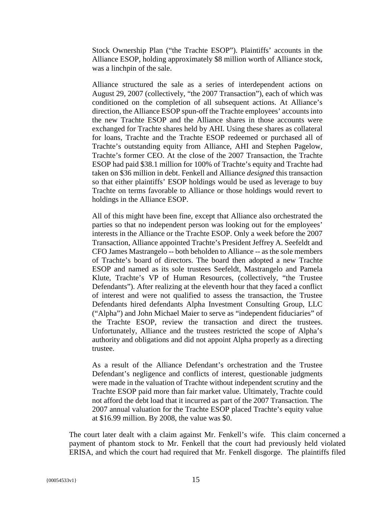Stock Ownership Plan ("the Trachte ESOP"). Plaintiffs' accounts in the Alliance ESOP, holding approximately \$8 million worth of Alliance stock, was a linchpin of the sale.

Alliance structured the sale as a series of interdependent actions on August 29, 2007 (collectively, "the 2007 Transaction"), each of which was conditioned on the completion of all subsequent actions. At Alliance's direction, the Alliance ESOP spun-off the Trachte employees' accounts into the new Trachte ESOP and the Alliance shares in those accounts were exchanged for Trachte shares held by AHI. Using these shares as collateral for loans, Trachte and the Trachte ESOP redeemed or purchased all of Trachte's outstanding equity from Alliance, AHI and Stephen Pagelow, Trachte's former CEO. At the close of the 2007 Transaction, the Trachte ESOP had paid \$38.1 million for 100% of Trachte's equity and Trachte had taken on \$36 million in debt. Fenkell and Alliance *designed* this transaction so that either plaintiffs' ESOP holdings would be used as leverage to buy Trachte on terms favorable to Alliance or those holdings would revert to holdings in the Alliance ESOP.

All of this might have been fine, except that Alliance also orchestrated the parties so that no independent person was looking out for the employees' interests in the Alliance or the Trachte ESOP. Only a week before the 2007 Transaction, Alliance appointed Trachte's President Jeffrey A. Seefeldt and CFO James Mastrangelo -- both beholden to Alliance -- as the sole members of Trachte's board of directors. The board then adopted a new Trachte ESOP and named as its sole trustees Seefeldt, Mastrangelo and Pamela Klute, Trachte's VP of Human Resources, (collectively, "the Trustee Defendants"). After realizing at the eleventh hour that they faced a conflict of interest and were not qualified to assess the transaction, the Trustee Defendants hired defendants Alpha Investment Consulting Group, LLC ("Alpha") and John Michael Maier to serve as "independent fiduciaries" of the Trachte ESOP, review the transaction and direct the trustees. Unfortunately, Alliance and the trustees restricted the scope of Alpha's authority and obligations and did not appoint Alpha properly as a directing trustee.

As a result of the Alliance Defendant's orchestration and the Trustee Defendant's negligence and conflicts of interest, questionable judgments were made in the valuation of Trachte without independent scrutiny and the Trachte ESOP paid more than fair market value. Ultimately, Trachte could not afford the debt load that it incurred as part of the 2007 Transaction. The 2007 annual valuation for the Trachte ESOP placed Trachte's equity value at \$16.99 million. By 2008, the value was \$0.

The court later dealt with a claim against Mr. Fenkell's wife. This claim concerned a payment of phantom stock to Mr. Fenkell that the court had previously held violated ERISA, and which the court had required that Mr. Fenkell disgorge. The plaintiffs filed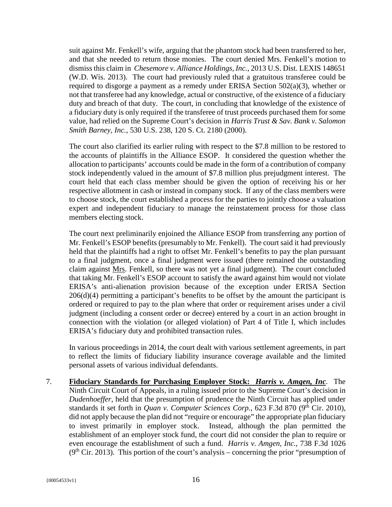suit against Mr. Fenkell's wife, arguing that the phantom stock had been transferred to her, and that she needed to return those monies. The court denied Mrs. Fenkell's motion to dismiss this claim in *Chesemore v. Alliance Holdings, Inc.*, 2013 U.S. Dist. LEXIS 148651 (W.D. Wis. 2013). The court had previously ruled that a gratuitous transferee could be required to disgorge a payment as a remedy under ERISA Section 502(a)(3), whether or not that transferee had any knowledge, actual or constructive, of the existence of a fiduciary duty and breach of that duty. The court, in concluding that knowledge of the existence of a fiduciary duty is only required if the transferee of trust proceeds purchased them for some value, had relied on the Supreme Court's decision in *Harris Trust & Sav. Bank v. Salomon Smith Barney, Inc.*, 530 U.S. 238, 120 S. Ct. 2180 (2000).

The court also clarified its earlier ruling with respect to the \$7.8 million to be restored to the accounts of plaintiffs in the Alliance ESOP. It considered the question whether the allocation to participants' accounts could be made in the form of a contribution of company stock independently valued in the amount of \$7.8 million plus prejudgment interest. The court held that each class member should be given the option of receiving his or her respective allotment in cash or instead in company stock. If any of the class members were to choose stock, the court established a process for the parties to jointly choose a valuation expert and independent fiduciary to manage the reinstatement process for those class members electing stock.

The court next preliminarily enjoined the Alliance ESOP from transferring any portion of Mr. Fenkell's ESOP benefits (presumably to Mr. Fenkell). The court said it had previously held that the plaintiffs had a right to offset Mr. Fenkell's benefits to pay the plan pursuant to a final judgment, once a final judgment were issued (there remained the outstanding claim against Mrs. Fenkell, so there was not yet a final judgment). The court concluded that taking Mr. Fenkell's ESOP account to satisfy the award against him would not violate ERISA's anti-alienation provision because of the exception under ERISA Section 206(d)(4) permitting a participant's benefits to be offset by the amount the participant is ordered or required to pay to the plan where that order or requirement arises under a civil judgment (including a consent order or decree) entered by a court in an action brought in connection with the violation (or alleged violation) of Part 4 of Title I, which includes ERISA's fiduciary duty and prohibited transaction rules.

In various proceedings in 2014, the court dealt with various settlement agreements, in part to reflect the limits of fiduciary liability insurance coverage available and the limited personal assets of various individual defendants.

7. **Fiduciary Standards for Purchasing Employer Stock:** *Harris v. Amgen, Inc*. The Ninth Circuit Court of Appeals, in a ruling issued prior to the Supreme Court's decision in *Dudenhoeffer*, held that the presumption of prudence the Ninth Circuit has applied under standards it set forth in *Quan v. Computer Sciences Corp.*, 623 F.3d 870 (9<sup>th</sup> Cir. 2010), did not apply because the plan did not "require or encourage" the appropriate plan fiduciary to invest primarily in employer stock. Instead, although the plan permitted the establishment of an employer stock fund, the court did not consider the plan to require or even encourage the establishment of such a fund. *Harris v. Amgen, Inc.*, 738 F.3d 1026  $(9<sup>th</sup> Cir. 2013)$ . This portion of the court's analysis – concerning the prior "presumption of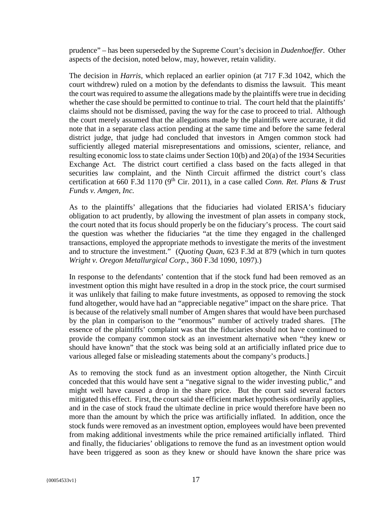prudence" – has been superseded by the Supreme Court's decision in *Dudenhoeffer*. Other aspects of the decision, noted below, may, however, retain validity.

The decision in *Harris*, which replaced an earlier opinion (at 717 F.3d 1042, which the court withdrew) ruled on a motion by the defendants to dismiss the lawsuit. This meant the court was required to assume the allegations made by the plaintiffs were true in deciding whether the case should be permitted to continue to trial. The court held that the plaintiffs' claims should not be dismissed, paving the way for the case to proceed to trial. Although the court merely assumed that the allegations made by the plaintiffs were accurate, it did note that in a separate class action pending at the same time and before the same federal district judge, that judge had concluded that investors in Amgen common stock had sufficiently alleged material misrepresentations and omissions, scienter, reliance, and resulting economic loss to state claims under Section 10(b) and 20(a) of the 1934 Securities Exchange Act. The district court certified a class based on the facts alleged in that securities law complaint, and the Ninth Circuit affirmed the district court's class certification at 660 F.3d 1170 (9th Cir. 2011), in a case called *Conn. Ret. Plans & Trust Funds v. Amgen, Inc.*

As to the plaintiffs' allegations that the fiduciaries had violated ERISA's fiduciary obligation to act prudently, by allowing the investment of plan assets in company stock, the court noted that its focus should properly be on the fiduciary's process. The court said the question was whether the fiduciaries "at the time they engaged in the challenged transactions, employed the appropriate methods to investigate the merits of the investment and to structure the investment." (*Quoting Quan*, 623 F.3d at 879 (which in turn quotes *Wright v. Oregon Metallurgical Corp.*, 360 F.3d 1090, 1097).)

In response to the defendants' contention that if the stock fund had been removed as an investment option this might have resulted in a drop in the stock price, the court surmised it was unlikely that failing to make future investments, as opposed to removing the stock fund altogether, would have had an "appreciable negative" impact on the share price. That is because of the relatively small number of Amgen shares that would have been purchased by the plan in comparison to the "enormous" number of actively traded shares. [The essence of the plaintiffs' complaint was that the fiduciaries should not have continued to provide the company common stock as an investment alternative when "they knew or should have known" that the stock was being sold at an artificially inflated price due to various alleged false or misleading statements about the company's products.]

As to removing the stock fund as an investment option altogether, the Ninth Circuit conceded that this would have sent a "negative signal to the wider investing public," and might well have caused a drop in the share price. But the court said several factors mitigated this effect. First, the court said the efficient market hypothesis ordinarily applies, and in the case of stock fraud the ultimate decline in price would therefore have been no more than the amount by which the price was artificially inflated. In addition, once the stock funds were removed as an investment option, employees would have been prevented from making additional investments while the price remained artificially inflated. Third and finally, the fiduciaries' obligations to remove the fund as an investment option would have been triggered as soon as they knew or should have known the share price was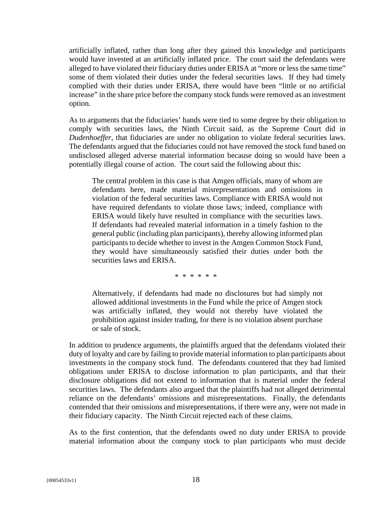artificially inflated, rather than long after they gained this knowledge and participants would have invested at an artificially inflated price. The court said the defendants were alleged to have violated their fiduciary duties under ERISA at "more or less the same time" some of them violated their duties under the federal securities laws. If they had timely complied with their duties under ERISA, there would have been "little or no artificial increase" in the share price before the company stock funds were removed as an investment option.

As to arguments that the fiduciaries' hands were tied to some degree by their obligation to comply with securities laws, the Ninth Circuit said, as the Supreme Court did in *Dudenhoeffer*, that fiduciaries are under no obligation to violate federal securities laws. The defendants argued that the fiduciaries could not have removed the stock fund based on undisclosed alleged adverse material information because doing so would have been a potentially illegal course of action. The court said the following about this:

The central problem in this case is that Amgen officials, many of whom are defendants here, made material misrepresentations and omissions in violation of the federal securities laws. Compliance with ERISA would not have required defendants to violate those laws; indeed, compliance with ERISA would likely have resulted in compliance with the securities laws. If defendants had revealed material information in a timely fashion to the general public (including plan participants), thereby allowing informed plan participants to decide whether to invest in the Amgen Common Stock Fund, they would have simultaneously satisfied their duties under both the securities laws and ERISA.

\* \* \* \* \* \*

Alternatively, if defendants had made no disclosures but had simply not allowed additional investments in the Fund while the price of Amgen stock was artificially inflated, they would not thereby have violated the prohibition against insider trading, for there is no violation absent purchase or sale of stock.

In addition to prudence arguments, the plaintiffs argued that the defendants violated their duty of loyalty and care by failing to provide material information to plan participants about investments in the company stock fund. The defendants countered that they had limited obligations under ERISA to disclose information to plan participants, and that their disclosure obligations did not extend to information that is material under the federal securities laws. The defendants also argued that the plaintiffs had not alleged detrimental reliance on the defendants' omissions and misrepresentations. Finally, the defendants contended that their omissions and misrepresentations, if there were any, were not made in their fiduciary capacity. The Ninth Circuit rejected each of these claims.

As to the first contention, that the defendants owed no duty under ERISA to provide material information about the company stock to plan participants who must decide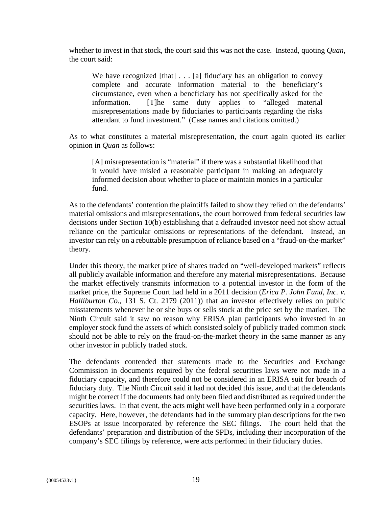whether to invest in that stock, the court said this was not the case. Instead, quoting *Quan*, the court said:

We have recognized  $[that] \ldots [a]$  fiduciary has an obligation to convey complete and accurate information material to the beneficiary's circumstance, even when a beneficiary has not specifically asked for the information. [T]he same duty applies to "alleged material misrepresentations made by fiduciaries to participants regarding the risks attendant to fund investment." (Case names and citations omitted.)

As to what constitutes a material misrepresentation, the court again quoted its earlier opinion in *Quan* as follows:

[A] misrepresentation is "material" if there was a substantial likelihood that it would have misled a reasonable participant in making an adequately informed decision about whether to place or maintain monies in a particular fund.

As to the defendants' contention the plaintiffs failed to show they relied on the defendants' material omissions and misrepresentations, the court borrowed from federal securities law decisions under Section 10(b) establishing that a defrauded investor need not show actual reliance on the particular omissions or representations of the defendant. Instead, an investor can rely on a rebuttable presumption of reliance based on a "fraud-on-the-market" theory.

Under this theory, the market price of shares traded on "well-developed markets" reflects all publicly available information and therefore any material misrepresentations. Because the market effectively transmits information to a potential investor in the form of the market price, the Supreme Court had held in a 2011 decision (*Erica P. John Fund, Inc. v. Halliburton Co*., 131 S. Ct. 2179 (2011)) that an investor effectively relies on public misstatements whenever he or she buys or sells stock at the price set by the market. The Ninth Circuit said it saw no reason why ERISA plan participants who invested in an employer stock fund the assets of which consisted solely of publicly traded common stock should not be able to rely on the fraud-on-the-market theory in the same manner as any other investor in publicly traded stock.

The defendants contended that statements made to the Securities and Exchange Commission in documents required by the federal securities laws were not made in a fiduciary capacity, and therefore could not be considered in an ERISA suit for breach of fiduciary duty. The Ninth Circuit said it had not decided this issue, and that the defendants might be correct if the documents had only been filed and distributed as required under the securities laws. In that event, the acts might well have been performed only in a corporate capacity. Here, however, the defendants had in the summary plan descriptions for the two ESOPs at issue incorporated by reference the SEC filings. The court held that the defendants' preparation and distribution of the SPDs, including their incorporation of the company's SEC filings by reference, were acts performed in their fiduciary duties.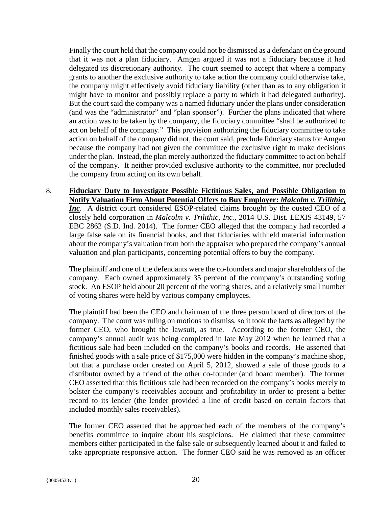Finally the court held that the company could not be dismissed as a defendant on the ground that it was not a plan fiduciary. Amgen argued it was not a fiduciary because it had delegated its discretionary authority. The court seemed to accept that where a company grants to another the exclusive authority to take action the company could otherwise take, the company might effectively avoid fiduciary liability (other than as to any obligation it might have to monitor and possibly replace a party to which it had delegated authority). But the court said the company was a named fiduciary under the plans under consideration (and was the "administrator" and "plan sponsor"). Further the plans indicated that where an action was to be taken by the company, the fiduciary committee "shall be authorized to act on behalf of the company." This provision authorizing the fiduciary committee to take action on behalf of the company did not, the court said, preclude fiduciary status for Amgen because the company had not given the committee the exclusive right to make decisions under the plan. Instead, the plan merely authorized the fiduciary committee to act on behalf of the company. It neither provided exclusive authority to the committee, nor precluded the company from acting on its own behalf.

8. **Fiduciary Duty to Investigate Possible Fictitious Sales, and Possible Obligation to Notify Valuation Firm About Potential Offers to Buy Employer:** *Malcolm v. Trilithic, Inc*. A district court considered ESOP-related claims brought by the ousted CEO of a closely held corporation in *Malcolm v. Trilithic, Inc.*, 2014 U.S. Dist. LEXIS 43149, 57 EBC 2862 (S.D. Ind. 2014). The former CEO alleged that the company had recorded a large false sale on its financial books, and that fiduciaries withheld material information about the company's valuation from both the appraiser who prepared the company's annual valuation and plan participants, concerning potential offers to buy the company.

The plaintiff and one of the defendants were the co-founders and major shareholders of the company. Each owned approximately 35 percent of the company's outstanding voting stock. An ESOP held about 20 percent of the voting shares, and a relatively small number of voting shares were held by various company employees.

The plaintiff had been the CEO and chairman of the three person board of directors of the company. The court was ruling on motions to dismiss, so it took the facts as alleged by the former CEO, who brought the lawsuit, as true. According to the former CEO, the company's annual audit was being completed in late May 2012 when he learned that a fictitious sale had been included on the company's books and records. He asserted that finished goods with a sale price of \$175,000 were hidden in the company's machine shop, but that a purchase order created on April 5, 2012, showed a sale of those goods to a distributor owned by a friend of the other co-founder (and board member). The former CEO asserted that this fictitious sale had been recorded on the company's books merely to bolster the company's receivables account and profitability in order to present a better record to its lender (the lender provided a line of credit based on certain factors that included monthly sales receivables).

The former CEO asserted that he approached each of the members of the company's benefits committee to inquire about his suspicions. He claimed that these committee members either participated in the false sale or subsequently learned about it and failed to take appropriate responsive action. The former CEO said he was removed as an officer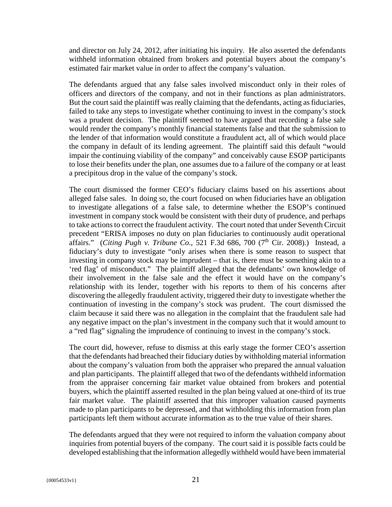and director on July 24, 2012, after initiating his inquiry. He also asserted the defendants withheld information obtained from brokers and potential buyers about the company's estimated fair market value in order to affect the company's valuation.

The defendants argued that any false sales involved misconduct only in their roles of officers and directors of the company, and not in their functions as plan administrators. But the court said the plaintiff was really claiming that the defendants, acting as fiduciaries, failed to take any steps to investigate whether continuing to invest in the company's stock was a prudent decision. The plaintiff seemed to have argued that recording a false sale would render the company's monthly financial statements false and that the submission to the lender of that information would constitute a fraudulent act, all of which would place the company in default of its lending agreement. The plaintiff said this default "would impair the continuing viability of the company" and conceivably cause ESOP participants to lose their benefits under the plan, one assumes due to a failure of the company or at least a precipitous drop in the value of the company's stock.

The court dismissed the former CEO's fiduciary claims based on his assertions about alleged false sales. In doing so, the court focused on when fiduciaries have an obligation to investigate allegations of a false sale, to determine whether the ESOP's continued investment in company stock would be consistent with their duty of prudence, and perhaps to take actions to correct the fraudulent activity. The court noted that under Seventh Circuit precedent "ERISA imposes no duty on plan fiduciaries to continuously audit operational affairs." (*Citing Pugh v. Tribune Co.*, 521 F.3d 686, 700 (7<sup>th</sup> Cir. 2008).) Instead, a fiduciary's duty to investigate "only arises when there is some reason to suspect that investing in company stock may be imprudent – that is, there must be something akin to a 'red flag' of misconduct." The plaintiff alleged that the defendants' own knowledge of their involvement in the false sale and the effect it would have on the company's relationship with its lender, together with his reports to them of his concerns after discovering the allegedly fraudulent activity, triggered their duty to investigate whether the continuation of investing in the company's stock was prudent. The court dismissed the claim because it said there was no allegation in the complaint that the fraudulent sale had any negative impact on the plan's investment in the company such that it would amount to a "red flag" signaling the imprudence of continuing to invest in the company's stock.

The court did, however, refuse to dismiss at this early stage the former CEO's assertion that the defendants had breached their fiduciary duties by withholding material information about the company's valuation from both the appraiser who prepared the annual valuation and plan participants. The plaintiff alleged that two of the defendants withheld information from the appraiser concerning fair market value obtained from brokers and potential buyers, which the plaintiff asserted resulted in the plan being valued at one-third of its true fair market value. The plaintiff asserted that this improper valuation caused payments made to plan participants to be depressed, and that withholding this information from plan participants left them without accurate information as to the true value of their shares.

The defendants argued that they were not required to inform the valuation company about inquiries from potential buyers of the company. The court said it is possible facts could be developed establishing that the information allegedly withheld would have been immaterial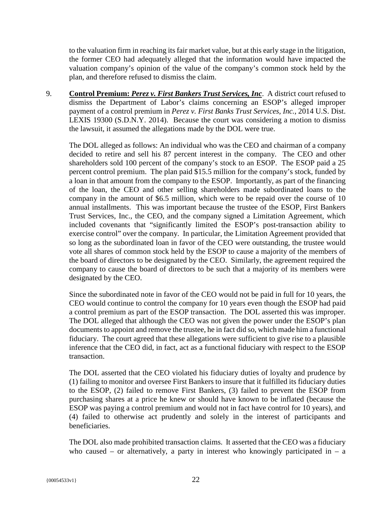to the valuation firm in reaching its fair market value, but at this early stage in the litigation, the former CEO had adequately alleged that the information would have impacted the valuation company's opinion of the value of the company's common stock held by the plan, and therefore refused to dismiss the claim.

9. **Control Premium:** *Perez v. First Bankers Trust Services, Inc*. A district court refused to dismiss the Department of Labor's claims concerning an ESOP's alleged improper payment of a control premium in *Perez v. First Banks Trust Services, Inc.*, 2014 U.S. Dist. LEXIS 19300 (S.D.N.Y. 2014). Because the court was considering a motion to dismiss the lawsuit, it assumed the allegations made by the DOL were true.

The DOL alleged as follows: An individual who was the CEO and chairman of a company decided to retire and sell his 87 percent interest in the company. The CEO and other shareholders sold 100 percent of the company's stock to an ESOP. The ESOP paid a 25 percent control premium. The plan paid \$15.5 million for the company's stock, funded by a loan in that amount from the company to the ESOP. Importantly, as part of the financing of the loan, the CEO and other selling shareholders made subordinated loans to the company in the amount of \$6.5 million, which were to be repaid over the course of 10 annual installments. This was important because the trustee of the ESOP, First Bankers Trust Services, Inc., the CEO, and the company signed a Limitation Agreement, which included covenants that "significantly limited the ESOP's post-transaction ability to exercise control" over the company. In particular, the Limitation Agreement provided that so long as the subordinated loan in favor of the CEO were outstanding, the trustee would vote all shares of common stock held by the ESOP to cause a majority of the members of the board of directors to be designated by the CEO. Similarly, the agreement required the company to cause the board of directors to be such that a majority of its members were designated by the CEO.

Since the subordinated note in favor of the CEO would not be paid in full for 10 years, the CEO would continue to control the company for 10 years even though the ESOP had paid a control premium as part of the ESOP transaction. The DOL asserted this was improper. The DOL alleged that although the CEO was not given the power under the ESOP's plan documents to appoint and remove the trustee, he in fact did so, which made him a functional fiduciary. The court agreed that these allegations were sufficient to give rise to a plausible inference that the CEO did, in fact, act as a functional fiduciary with respect to the ESOP transaction.

The DOL asserted that the CEO violated his fiduciary duties of loyalty and prudence by (1) failing to monitor and oversee First Bankers to insure that it fulfilled its fiduciary duties to the ESOP, (2) failed to remove First Bankers, (3) failed to prevent the ESOP from purchasing shares at a price he knew or should have known to be inflated (because the ESOP was paying a control premium and would not in fact have control for 10 years), and (4) failed to otherwise act prudently and solely in the interest of participants and beneficiaries.

The DOL also made prohibited transaction claims. It asserted that the CEO was a fiduciary who caused – or alternatively, a party in interest who knowingly participated in – a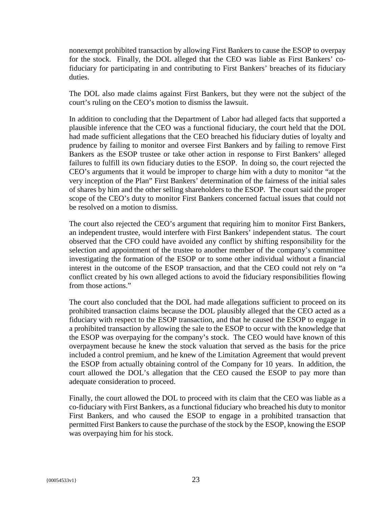nonexempt prohibited transaction by allowing First Bankers to cause the ESOP to overpay for the stock. Finally, the DOL alleged that the CEO was liable as First Bankers' cofiduciary for participating in and contributing to First Bankers' breaches of its fiduciary duties.

The DOL also made claims against First Bankers, but they were not the subject of the court's ruling on the CEO's motion to dismiss the lawsuit.

In addition to concluding that the Department of Labor had alleged facts that supported a plausible inference that the CEO was a functional fiduciary, the court held that the DOL had made sufficient allegations that the CEO breached his fiduciary duties of loyalty and prudence by failing to monitor and oversee First Bankers and by failing to remove First Bankers as the ESOP trustee or take other action in response to First Bankers' alleged failures to fulfill its own fiduciary duties to the ESOP. In doing so, the court rejected the CEO's arguments that it would be improper to charge him with a duty to monitor "at the very inception of the Plan" First Bankers' determination of the fairness of the initial sales of shares by him and the other selling shareholders to the ESOP. The court said the proper scope of the CEO's duty to monitor First Bankers concerned factual issues that could not be resolved on a motion to dismiss.

The court also rejected the CEO's argument that requiring him to monitor First Bankers, an independent trustee, would interfere with First Bankers' independent status. The court observed that the CFO could have avoided any conflict by shifting responsibility for the selection and appointment of the trustee to another member of the company's committee investigating the formation of the ESOP or to some other individual without a financial interest in the outcome of the ESOP transaction, and that the CEO could not rely on "a conflict created by his own alleged actions to avoid the fiduciary responsibilities flowing from those actions."

The court also concluded that the DOL had made allegations sufficient to proceed on its prohibited transaction claims because the DOL plausibly alleged that the CEO acted as a fiduciary with respect to the ESOP transaction, and that he caused the ESOP to engage in a prohibited transaction by allowing the sale to the ESOP to occur with the knowledge that the ESOP was overpaying for the company's stock. The CEO would have known of this overpayment because he knew the stock valuation that served as the basis for the price included a control premium, and he knew of the Limitation Agreement that would prevent the ESOP from actually obtaining control of the Company for 10 years. In addition, the court allowed the DOL's allegation that the CEO caused the ESOP to pay more than adequate consideration to proceed.

Finally, the court allowed the DOL to proceed with its claim that the CEO was liable as a co-fiduciary with First Bankers, as a functional fiduciary who breached his duty to monitor First Bankers, and who caused the ESOP to engage in a prohibited transaction that permitted First Bankers to cause the purchase of the stock by the ESOP, knowing the ESOP was overpaying him for his stock.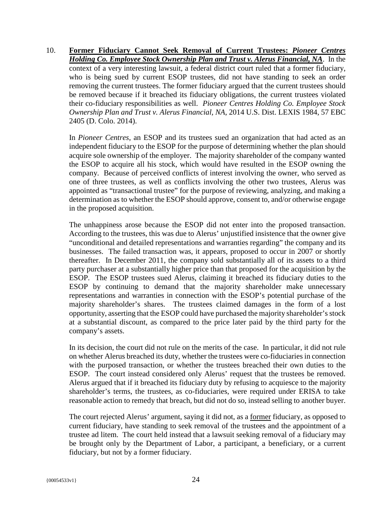10. **Former Fiduciary Cannot Seek Removal of Current Trustees:** *Pioneer Centres Holding Co. Employee Stock Ownership Plan and Trust v. Alerus Financial, NA*. In the context of a very interesting lawsuit, a federal district court ruled that a former fiduciary, who is being sued by current ESOP trustees, did not have standing to seek an order removing the current trustees. The former fiduciary argued that the current trustees should be removed because if it breached its fiduciary obligations, the current trustees violated their co-fiduciary responsibilities as well. *Pioneer Centres Holding Co. Employee Stock Ownership Plan and Trust v. Alerus Financial, NA*, 2014 U.S. Dist. LEXIS 1984, 57 EBC 2405 (D. Colo. 2014).

In *Pioneer Centres*, an ESOP and its trustees sued an organization that had acted as an independent fiduciary to the ESOP for the purpose of determining whether the plan should acquire sole ownership of the employer. The majority shareholder of the company wanted the ESOP to acquire all his stock, which would have resulted in the ESOP owning the company. Because of perceived conflicts of interest involving the owner, who served as one of three trustees, as well as conflicts involving the other two trustees, Alerus was appointed as "transactional trustee" for the purpose of reviewing, analyzing, and making a determination as to whether the ESOP should approve, consent to, and/or otherwise engage in the proposed acquisition.

The unhappiness arose because the ESOP did not enter into the proposed transaction. According to the trustees, this was due to Alerus' unjustified insistence that the owner give "unconditional and detailed representations and warranties regarding" the company and its businesses. The failed transaction was, it appears, proposed to occur in 2007 or shortly thereafter. In December 2011, the company sold substantially all of its assets to a third party purchaser at a substantially higher price than that proposed for the acquisition by the ESOP. The ESOP trustees sued Alerus, claiming it breached its fiduciary duties to the ESOP by continuing to demand that the majority shareholder make unnecessary representations and warranties in connection with the ESOP's potential purchase of the majority shareholder's shares. The trustees claimed damages in the form of a lost opportunity, asserting that the ESOP could have purchased the majority shareholder's stock at a substantial discount, as compared to the price later paid by the third party for the company's assets.

In its decision, the court did not rule on the merits of the case. In particular, it did not rule on whether Alerus breached its duty, whether the trustees were co-fiduciaries in connection with the purposed transaction, or whether the trustees breached their own duties to the ESOP. The court instead considered only Alerus' request that the trustees be removed. Alerus argued that if it breached its fiduciary duty by refusing to acquiesce to the majority shareholder's terms, the trustees, as co-fiduciaries, were required under ERISA to take reasonable action to remedy that breach, but did not do so, instead selling to another buyer.

The court rejected Alerus' argument, saying it did not, as a former fiduciary, as opposed to current fiduciary, have standing to seek removal of the trustees and the appointment of a trustee ad litem. The court held instead that a lawsuit seeking removal of a fiduciary may be brought only by the Department of Labor, a participant, a beneficiary, or a current fiduciary, but not by a former fiduciary.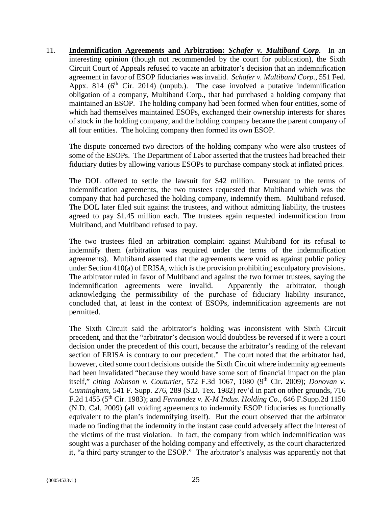11. **Indemnification Agreements and Arbitration:** *Schafer v. Multiband Corp*. In an interesting opinion (though not recommended by the court for publication), the Sixth Circuit Court of Appeals refused to vacate an arbitrator's decision that an indemnification agreement in favor of ESOP fiduciaries was invalid. *Schafer v. Multiband Corp.*, 551 Fed. Appx. 814 ( $6<sup>th</sup>$  Cir. 2014) (unpub.). The case involved a putative indemnification obligation of a company, Multiband Corp., that had purchased a holding company that maintained an ESOP. The holding company had been formed when four entities, some of which had themselves maintained ESOPs, exchanged their ownership interests for shares of stock in the holding company, and the holding company became the parent company of all four entities. The holding company then formed its own ESOP.

The dispute concerned two directors of the holding company who were also trustees of some of the ESOPs. The Department of Labor asserted that the trustees had breached their fiduciary duties by allowing various ESOPs to purchase company stock at inflated prices.

The DOL offered to settle the lawsuit for \$42 million. Pursuant to the terms of indemnification agreements, the two trustees requested that Multiband which was the company that had purchased the holding company, indemnify them. Multiband refused. The DOL later filed suit against the trustees, and without admitting liability, the trustees agreed to pay \$1.45 million each. The trustees again requested indemnification from Multiband, and Multiband refused to pay.

The two trustees filed an arbitration complaint against Multiband for its refusal to indemnify them (arbitration was required under the terms of the indemnification agreements). Multiband asserted that the agreements were void as against public policy under Section 410(a) of ERISA, which is the provision prohibiting exculpatory provisions. The arbitrator ruled in favor of Multiband and against the two former trustees, saying the indemnification agreements were invalid. Apparently the arbitrator, though acknowledging the permissibility of the purchase of fiduciary liability insurance, concluded that, at least in the context of ESOPs, indemnification agreements are not permitted.

The Sixth Circuit said the arbitrator's holding was inconsistent with Sixth Circuit precedent, and that the "arbitrator's decision would doubtless be reversed if it were a court decision under the precedent of this court, because the arbitrator's reading of the relevant section of ERISA is contrary to our precedent." The court noted that the arbitrator had, however, cited some court decisions outside the Sixth Circuit where indemnity agreements had been invalidated "because they would have some sort of financial impact on the plan itself," *citing Johnson v. Couturier*, 572 F.3d 1067, 1080 (9<sup>th</sup> Cir. 2009); *Donovan v. Cunningham*, 541 F. Supp. 276, 289 (S.D. Tex. 1982) rev'd in part on other grounds, 716 F.2d 1455 (5th Cir. 1983); and *Fernandez v. K-M Indus. Holding Co.*, 646 F.Supp.2d 1150 (N.D. Cal. 2009) (all voiding agreements to indemnify ESOP fiduciaries as functionally equivalent to the plan's indemnifying itself). But the court observed that the arbitrator made no finding that the indemnity in the instant case could adversely affect the interest of the victims of the trust violation. In fact, the company from which indemnification was sought was a purchaser of the holding company and effectively, as the court characterized it, "a third party stranger to the ESOP." The arbitrator's analysis was apparently not that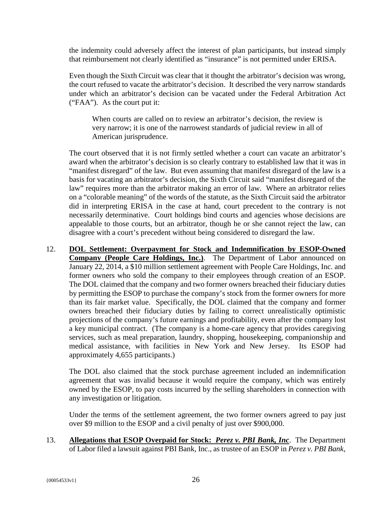the indemnity could adversely affect the interest of plan participants, but instead simply that reimbursement not clearly identified as "insurance" is not permitted under ERISA.

Even though the Sixth Circuit was clear that it thought the arbitrator's decision was wrong, the court refused to vacate the arbitrator's decision. It described the very narrow standards under which an arbitrator's decision can be vacated under the Federal Arbitration Act ("FAA"). As the court put it:

When courts are called on to review an arbitrator's decision, the review is very narrow; it is one of the narrowest standards of judicial review in all of American jurisprudence.

The court observed that it is not firmly settled whether a court can vacate an arbitrator's award when the arbitrator's decision is so clearly contrary to established law that it was in "manifest disregard" of the law. But even assuming that manifest disregard of the law is a basis for vacating an arbitrator's decision, the Sixth Circuit said "manifest disregard of the law" requires more than the arbitrator making an error of law. Where an arbitrator relies on a "colorable meaning" of the words of the statute, as the Sixth Circuit said the arbitrator did in interpreting ERISA in the case at hand, court precedent to the contrary is not necessarily determinative. Court holdings bind courts and agencies whose decisions are appealable to those courts, but an arbitrator, though he or she cannot reject the law, can disagree with a court's precedent without being considered to disregard the law.

12. **DOL Settlement: Overpayment for Stock and Indemnification by ESOP-Owned Company (People Care Holdings, Inc.)**. The Department of Labor announced on January 22, 2014, a \$10 million settlement agreement with People Care Holdings, Inc. and former owners who sold the company to their employees through creation of an ESOP. The DOL claimed that the company and two former owners breached their fiduciary duties by permitting the ESOP to purchase the company's stock from the former owners for more than its fair market value. Specifically, the DOL claimed that the company and former owners breached their fiduciary duties by failing to correct unrealistically optimistic projections of the company's future earnings and profitability, even after the company lost a key municipal contract. (The company is a home-care agency that provides caregiving services, such as meal preparation, laundry, shopping, housekeeping, companionship and medical assistance, with facilities in New York and New Jersey. Its ESOP had approximately 4,655 participants.)

The DOL also claimed that the stock purchase agreement included an indemnification agreement that was invalid because it would require the company, which was entirely owned by the ESOP, to pay costs incurred by the selling shareholders in connection with any investigation or litigation.

Under the terms of the settlement agreement, the two former owners agreed to pay just over \$9 million to the ESOP and a civil penalty of just over \$900,000.

13. **Allegations that ESOP Overpaid for Stock:** *Perez v. PBI Bank, Inc*. The Department of Labor filed a lawsuit against PBI Bank, Inc., as trustee of an ESOP in *Perez v. PBI Bank,*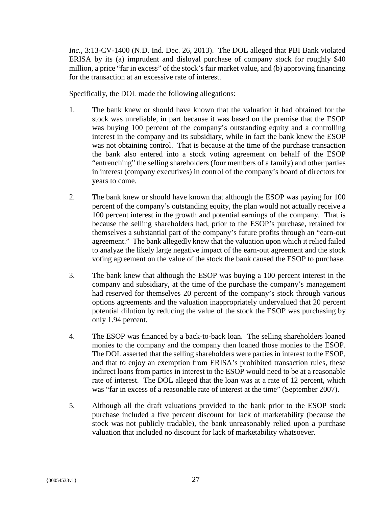*Inc.*, 3:13-CV-1400 (N.D. Ind. Dec. 26, 2013). The DOL alleged that PBI Bank violated ERISA by its (a) imprudent and disloyal purchase of company stock for roughly \$40 million, a price "far in excess" of the stock's fair market value, and (b) approving financing for the transaction at an excessive rate of interest.

Specifically, the DOL made the following allegations:

- 1. The bank knew or should have known that the valuation it had obtained for the stock was unreliable, in part because it was based on the premise that the ESOP was buying 100 percent of the company's outstanding equity and a controlling interest in the company and its subsidiary, while in fact the bank knew the ESOP was not obtaining control. That is because at the time of the purchase transaction the bank also entered into a stock voting agreement on behalf of the ESOP "entrenching" the selling shareholders (four members of a family) and other parties in interest (company executives) in control of the company's board of directors for years to come.
- 2. The bank knew or should have known that although the ESOP was paying for 100 percent of the company's outstanding equity, the plan would not actually receive a 100 percent interest in the growth and potential earnings of the company. That is because the selling shareholders had, prior to the ESOP's purchase, retained for themselves a substantial part of the company's future profits through an "earn-out agreement." The bank allegedly knew that the valuation upon which it relied failed to analyze the likely large negative impact of the earn-out agreement and the stock voting agreement on the value of the stock the bank caused the ESOP to purchase.
- 3. The bank knew that although the ESOP was buying a 100 percent interest in the company and subsidiary, at the time of the purchase the company's management had reserved for themselves 20 percent of the company's stock through various options agreements and the valuation inappropriately undervalued that 20 percent potential dilution by reducing the value of the stock the ESOP was purchasing by only 1.94 percent.
- 4. The ESOP was financed by a back-to-back loan. The selling shareholders loaned monies to the company and the company then loaned those monies to the ESOP. The DOL asserted that the selling shareholders were parties in interest to the ESOP, and that to enjoy an exemption from ERISA's prohibited transaction rules, these indirect loans from parties in interest to the ESOP would need to be at a reasonable rate of interest. The DOL alleged that the loan was at a rate of 12 percent, which was "far in excess of a reasonable rate of interest at the time" (September 2007).
- 5. Although all the draft valuations provided to the bank prior to the ESOP stock purchase included a five percent discount for lack of marketability (because the stock was not publicly tradable), the bank unreasonably relied upon a purchase valuation that included no discount for lack of marketability whatsoever.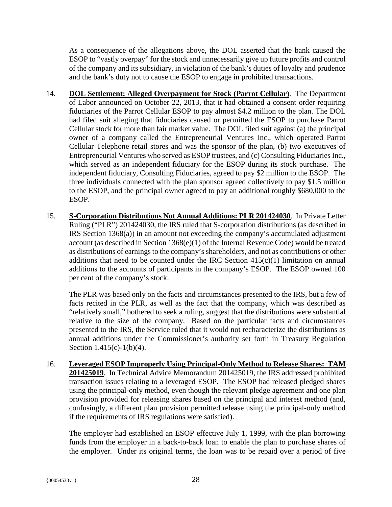As a consequence of the allegations above, the DOL asserted that the bank caused the ESOP to "vastly overpay" for the stock and unnecessarily give up future profits and control of the company and its subsidiary, in violation of the bank's duties of loyalty and prudence and the bank's duty not to cause the ESOP to engage in prohibited transactions.

- 14. **DOL Settlement: Alleged Overpayment for Stock (Parrot Cellular)***.* The Department of Labor announced on October 22, 2013, that it had obtained a consent order requiring fiduciaries of the Parrot Cellular ESOP to pay almost \$4.2 million to the plan. The DOL had filed suit alleging that fiduciaries caused or permitted the ESOP to purchase Parrot Cellular stock for more than fair market value. The DOL filed suit against (a) the principal owner of a company called the Entrepreneurial Ventures Inc., which operated Parrot Cellular Telephone retail stores and was the sponsor of the plan, (b) two executives of Entrepreneurial Ventures who served as ESOP trustees, and (c) Consulting Fiduciaries Inc., which served as an independent fiduciary for the ESOP during its stock purchase. The independent fiduciary, Consulting Fiduciaries, agreed to pay \$2 million to the ESOP. The three individuals connected with the plan sponsor agreed collectively to pay \$1.5 million to the ESOP, and the principal owner agreed to pay an additional roughly \$680,000 to the ESOP.
- 15. **S-Corporation Distributions Not Annual Additions: PLR 201424030**. In Private Letter Ruling ("PLR") 201424030, the IRS ruled that S-corporation distributions (as described in IRS Section 1368(a)) in an amount not exceeding the company's accumulated adjustment account (as described in Section 1368(e)(1) of the Internal Revenue Code) would be treated as distributions of earnings to the company's shareholders, and not as contributions or other additions that need to be counted under the IRC Section  $415(c)(1)$  limitation on annual additions to the accounts of participants in the company's ESOP. The ESOP owned 100 per cent of the company's stock.

The PLR was based only on the facts and circumstances presented to the IRS, but a few of facts recited in the PLR, as well as the fact that the company, which was described as "relatively small," bothered to seek a ruling, suggest that the distributions were substantial relative to the size of the company. Based on the particular facts and circumstances presented to the IRS, the Service ruled that it would not recharacterize the distributions as annual additions under the Commissioner's authority set forth in Treasury Regulation Section  $1.415(c)-1(b)(4)$ .

16. **Leveraged ESOP Improperly Using Principal-Only Method to Release Shares: TAM 201425019**. In Technical Advice Memorandum 201425019, the IRS addressed prohibited transaction issues relating to a leveraged ESOP. The ESOP had released pledged shares using the principal-only method, even though the relevant pledge agreement and one plan provision provided for releasing shares based on the principal and interest method (and, confusingly, a different plan provision permitted release using the principal-only method if the requirements of IRS regulations were satisfied).

The employer had established an ESOP effective July 1, 1999, with the plan borrowing funds from the employer in a back-to-back loan to enable the plan to purchase shares of the employer. Under its original terms, the loan was to be repaid over a period of five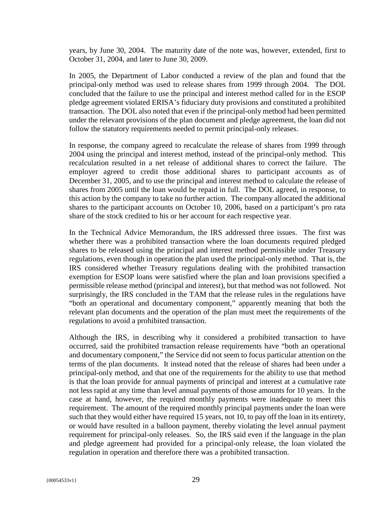years, by June 30, 2004. The maturity date of the note was, however, extended, first to October 31, 2004, and later to June 30, 2009.

In 2005, the Department of Labor conducted a review of the plan and found that the principal-only method was used to release shares from 1999 through 2004. The DOL concluded that the failure to use the principal and interest method called for in the ESOP pledge agreement violated ERISA's fiduciary duty provisions and constituted a prohibited transaction. The DOL also noted that even if the principal-only method had been permitted under the relevant provisions of the plan document and pledge agreement, the loan did not follow the statutory requirements needed to permit principal-only releases.

In response, the company agreed to recalculate the release of shares from 1999 through 2004 using the principal and interest method, instead of the principal-only method. This recalculation resulted in a net release of additional shares to correct the failure. The employer agreed to credit those additional shares to participant accounts as of December 31, 2005, and to use the principal and interest method to calculate the release of shares from 2005 until the loan would be repaid in full. The DOL agreed, in response, to this action by the company to take no further action. The company allocated the additional shares to the participant accounts on October 10, 2006, based on a participant's pro rata share of the stock credited to his or her account for each respective year.

In the Technical Advice Memorandum, the IRS addressed three issues. The first was whether there was a prohibited transaction where the loan documents required pledged shares to be released using the principal and interest method permissible under Treasury regulations, even though in operation the plan used the principal-only method. That is, the IRS considered whether Treasury regulations dealing with the prohibited transaction exemption for ESOP loans were satisfied where the plan and loan provisions specified a permissible release method (principal and interest), but that method was not followed. Not surprisingly, the IRS concluded in the TAM that the release rules in the regulations have "both an operational and documentary component," apparently meaning that both the relevant plan documents and the operation of the plan must meet the requirements of the regulations to avoid a prohibited transaction.

Although the IRS, in describing why it considered a prohibited transaction to have occurred, said the prohibited transaction release requirements have "both an operational and documentary component," the Service did not seem to focus particular attention on the terms of the plan documents. It instead noted that the release of shares had been under a principal-only method, and that one of the requirements for the ability to use that method is that the loan provide for annual payments of principal and interest at a cumulative rate not less rapid at any time than level annual payments of those amounts for 10 years. In the case at hand, however, the required monthly payments were inadequate to meet this requirement. The amount of the required monthly principal payments under the loan were such that they would either have required 15 years, not 10, to pay off the loan in its entirety, or would have resulted in a balloon payment, thereby violating the level annual payment requirement for principal-only releases. So, the IRS said even if the language in the plan and pledge agreement had provided for a principal-only release, the loan violated the regulation in operation and therefore there was a prohibited transaction.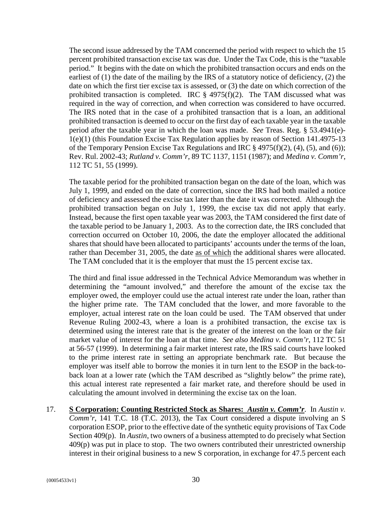The second issue addressed by the TAM concerned the period with respect to which the 15 percent prohibited transaction excise tax was due. Under the Tax Code, this is the "taxable period." It begins with the date on which the prohibited transaction occurs and ends on the earliest of (1) the date of the mailing by the IRS of a statutory notice of deficiency, (2) the date on which the first tier excise tax is assessed, or (3) the date on which correction of the prohibited transaction is completed. IRC  $\S$  4975(f)(2). The TAM discussed what was required in the way of correction, and when correction was considered to have occurred. The IRS noted that in the case of a prohibited transaction that is a loan, an additional prohibited transaction is deemed to occur on the first day of each taxable year in the taxable period after the taxable year in which the loan was made. *See* Treas. Reg. § 53.4941(e)- 1(e)(1) (this Foundation Excise Tax Regulation applies by reason of Section 141.4975-13 of the Temporary Pension Excise Tax Regulations and IRC § 4975(f)(2), (4), (5), and (6)); Rev. Rul. 2002-43; *Rutland v. Comm'r*, 89 TC 1137, 1151 (1987); and *Medina v. Comm'r*, 112 TC 51, 55 (1999).

The taxable period for the prohibited transaction began on the date of the loan, which was July 1, 1999, and ended on the date of correction, since the IRS had both mailed a notice of deficiency and assessed the excise tax later than the date it was corrected. Although the prohibited transaction began on July 1, 1999, the excise tax did not apply that early. Instead, because the first open taxable year was 2003, the TAM considered the first date of the taxable period to be January 1, 2003. As to the correction date, the IRS concluded that correction occurred on October 10, 2006, the date the employer allocated the additional shares that should have been allocated to participants' accounts under the terms of the loan, rather than December 31, 2005, the date as of which the additional shares were allocated. The TAM concluded that it is the employer that must the 15 percent excise tax.

The third and final issue addressed in the Technical Advice Memorandum was whether in determining the "amount involved," and therefore the amount of the excise tax the employer owed, the employer could use the actual interest rate under the loan, rather than the higher prime rate. The TAM concluded that the lower, and more favorable to the employer, actual interest rate on the loan could be used. The TAM observed that under Revenue Ruling 2002-43, where a loan is a prohibited transaction, the excise tax is determined using the interest rate that is the greater of the interest on the loan or the fair market value of interest for the loan at that time. *See also Medina v. Comm'r*, 112 TC 51 at 56-57 (1999). In determining a fair market interest rate, the IRS said courts have looked to the prime interest rate in setting an appropriate benchmark rate. But because the employer was itself able to borrow the monies it in turn lent to the ESOP in the back-toback loan at a lower rate (which the TAM described as "slightly below" the prime rate), this actual interest rate represented a fair market rate, and therefore should be used in calculating the amount involved in determining the excise tax on the loan.

17. **S Corporation: Counting Restricted Stock as Shares:** *Austin v. Comm'r*. In *Austin v. Comm'r*, 141 T.C. 18 (T.C. 2013), the Tax Court considered a dispute involving an S corporation ESOP, prior to the effective date of the synthetic equity provisions of Tax Code Section 409(p). In *Austin*, two owners of a business attempted to do precisely what Section 409(p) was put in place to stop. The two owners contributed their unrestricted ownership interest in their original business to a new S corporation, in exchange for 47.5 percent each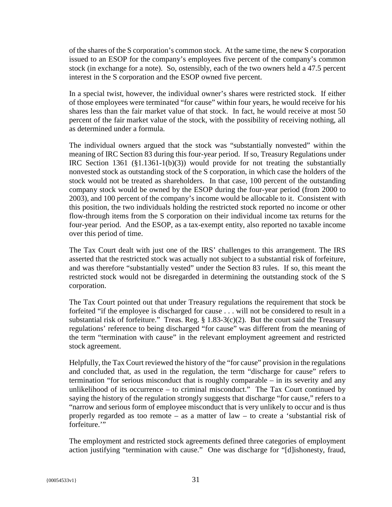of the shares of the S corporation's common stock. At the same time, the new S corporation issued to an ESOP for the company's employees five percent of the company's common stock (in exchange for a note). So, ostensibly, each of the two owners held a 47.5 percent interest in the S corporation and the ESOP owned five percent.

In a special twist, however, the individual owner's shares were restricted stock. If either of those employees were terminated "for cause" within four years, he would receive for his shares less than the fair market value of that stock. In fact, he would receive at most 50 percent of the fair market value of the stock, with the possibility of receiving nothing, all as determined under a formula.

The individual owners argued that the stock was "substantially nonvested" within the meaning of IRC Section 83 during this four-year period. If so, Treasury Regulations under IRC Section 1361 (§1.1361-1(b)(3)) would provide for not treating the substantially nonvested stock as outstanding stock of the S corporation, in which case the holders of the stock would not be treated as shareholders. In that case, 100 percent of the outstanding company stock would be owned by the ESOP during the four-year period (from 2000 to 2003), and 100 percent of the company's income would be allocable to it. Consistent with this position, the two individuals holding the restricted stock reported no income or other flow-through items from the S corporation on their individual income tax returns for the four-year period. And the ESOP, as a tax-exempt entity, also reported no taxable income over this period of time.

The Tax Court dealt with just one of the IRS' challenges to this arrangement. The IRS asserted that the restricted stock was actually not subject to a substantial risk of forfeiture, and was therefore "substantially vested" under the Section 83 rules. If so, this meant the restricted stock would not be disregarded in determining the outstanding stock of the S corporation.

The Tax Court pointed out that under Treasury regulations the requirement that stock be forfeited "if the employee is discharged for cause . . . will not be considered to result in a substantial risk of forfeiture." Treas. Reg.  $\S 1.83-3(c)(2)$ . But the court said the Treasury regulations' reference to being discharged "for cause" was different from the meaning of the term "termination with cause" in the relevant employment agreement and restricted stock agreement.

Helpfully, the Tax Court reviewed the history of the "for cause" provision in the regulations and concluded that, as used in the regulation, the term "discharge for cause" refers to termination "for serious misconduct that is roughly comparable – in its severity and any unlikelihood of its occurrence – to criminal misconduct." The Tax Court continued by saying the history of the regulation strongly suggests that discharge "for cause," refers to a "narrow and serious form of employee misconduct that is very unlikely to occur and is thus properly regarded as too remote – as a matter of law – to create a 'substantial risk of forfeiture."

The employment and restricted stock agreements defined three categories of employment action justifying "termination with cause." One was discharge for "[d]ishonesty, fraud,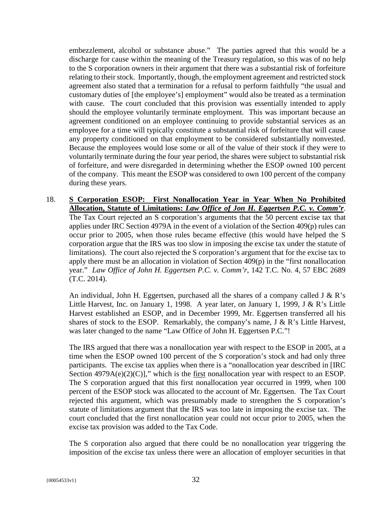embezzlement, alcohol or substance abuse." The parties agreed that this would be a discharge for cause within the meaning of the Treasury regulation, so this was of no help to the S corporation owners in their argument that there was a substantial risk of forfeiture relating to their stock. Importantly, though, the employment agreement and restricted stock agreement also stated that a termination for a refusal to perform faithfully "the usual and customary duties of [the employee's] employment" would also be treated as a termination with cause. The court concluded that this provision was essentially intended to apply should the employee voluntarily terminate employment. This was important because an agreement conditioned on an employee continuing to provide substantial services as an employee for a time will typically constitute a substantial risk of forfeiture that will cause any property conditioned on that employment to be considered substantially nonvested. Because the employees would lose some or all of the value of their stock if they were to voluntarily terminate during the four year period, the shares were subject to substantial risk of forfeiture, and were disregarded in determining whether the ESOP owned 100 percent of the company. This meant the ESOP was considered to own 100 percent of the company during these years.

18. **S Corporation ESOP: First Nonallocation Year in Year When No Prohibited Allocation, Statute of Limitations:** *Law Office of Jon H. Eggertsen P.C. v. Comm'r*. The Tax Court rejected an S corporation's arguments that the 50 percent excise tax that applies under IRC Section 4979A in the event of a violation of the Section 409(p) rules can occur prior to 2005, when those rules became effective (this would have helped the S corporation argue that the IRS was too slow in imposing the excise tax under the statute of limitations). The court also rejected the S corporation's argument that for the excise tax to apply there must be an allocation in violation of Section 409(p) in the "first nonallocation year." *Law Office of John H. Eggertsen P.C. v. Comm'r*, 142 T.C. No. 4, 57 EBC 2689 (T.C. 2014).

An individual, John H. Eggertsen, purchased all the shares of a company called J & R's Little Harvest, Inc. on January 1, 1998. A year later, on January 1, 1999, J & R's Little Harvest established an ESOP, and in December 1999, Mr. Eggertsen transferred all his shares of stock to the ESOP. Remarkably, the company's name,  $J \& R$ 's Little Harvest, was later changed to the name "Law Office of John H. Eggertsen P.C."!

The IRS argued that there was a nonallocation year with respect to the ESOP in 2005, at a time when the ESOP owned 100 percent of the S corporation's stock and had only three participants. The excise tax applies when there is a "nonallocation year described in [IRC Section  $4979A(e)(2)(C)$ ]," which is the first nonallocation year with respect to an ESOP. The S corporation argued that this first nonallocation year occurred in 1999, when 100 percent of the ESOP stock was allocated to the account of Mr. Eggertsen. The Tax Court rejected this argument, which was presumably made to strengthen the S corporation's statute of limitations argument that the IRS was too late in imposing the excise tax. The court concluded that the first nonallocation year could not occur prior to 2005, when the excise tax provision was added to the Tax Code.

The S corporation also argued that there could be no nonallocation year triggering the imposition of the excise tax unless there were an allocation of employer securities in that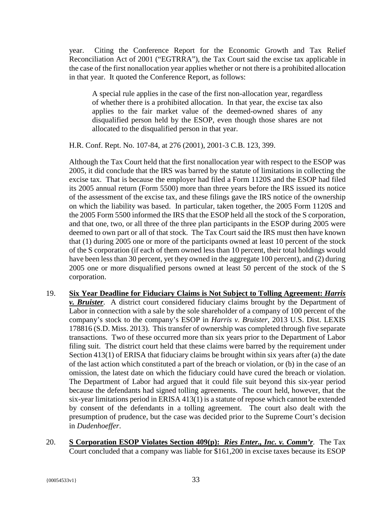year. Citing the Conference Report for the Economic Growth and Tax Relief Reconciliation Act of 2001 ("EGTRRA"), the Tax Court said the excise tax applicable in the case of the first nonallocation year applies whether or not there is a prohibited allocation in that year. It quoted the Conference Report, as follows:

A special rule applies in the case of the first non-allocation year, regardless of whether there is a prohibited allocation. In that year, the excise tax also applies to the fair market value of the deemed-owned shares of any disqualified person held by the ESOP, even though those shares are not allocated to the disqualified person in that year.

H.R. Conf. Rept. No. 107-84, at 276 (2001), 2001-3 C.B. 123, 399.

Although the Tax Court held that the first nonallocation year with respect to the ESOP was 2005, it did conclude that the IRS was barred by the statute of limitations in collecting the excise tax. That is because the employer had filed a Form 1120S and the ESOP had filed its 2005 annual return (Form 5500) more than three years before the IRS issued its notice of the assessment of the excise tax, and these filings gave the IRS notice of the ownership on which the liability was based. In particular, taken together, the 2005 Form 1120S and the 2005 Form 5500 informed the IRS that the ESOP held all the stock of the S corporation, and that one, two, or all three of the three plan participants in the ESOP during 2005 were deemed to own part or all of that stock. The Tax Court said the IRS must then have known that (1) during 2005 one or more of the participants owned at least 10 percent of the stock of the S corporation (if each of them owned less than 10 percent, their total holdings would have been less than 30 percent, yet they owned in the aggregate 100 percent), and (2) during 2005 one or more disqualified persons owned at least 50 percent of the stock of the S corporation.

- 19. **Six Year Deadline for Fiduciary Claims is Not Subject to Tolling Agreement:** *Harris v. Bruister*. A district court considered fiduciary claims brought by the Department of Labor in connection with a sale by the sole shareholder of a company of 100 percent of the company's stock to the company's ESOP in *Harris v. Bruister*, 2013 U.S. Dist. LEXIS 178816 (S.D. Miss. 2013). This transfer of ownership was completed through five separate transactions. Two of these occurred more than six years prior to the Department of Labor filing suit. The district court held that these claims were barred by the requirement under Section 413(1) of ERISA that fiduciary claims be brought within six years after (a) the date of the last action which constituted a part of the breach or violation, or (b) in the case of an omission, the latest date on which the fiduciary could have cured the breach or violation. The Department of Labor had argued that it could file suit beyond this six-year period because the defendants had signed tolling agreements. The court held, however, that the six-year limitations period in ERISA 413(1) is a statute of repose which cannot be extended by consent of the defendants in a tolling agreement. The court also dealt with the presumption of prudence, but the case was decided prior to the Supreme Court's decision in *Dudenhoeffer*.
- 20. **S Corporation ESOP Violates Section 409(p):** *Ries Enter., Inc. v. Comm'r.* The Tax Court concluded that a company was liable for \$161,200 in excise taxes because its ESOP